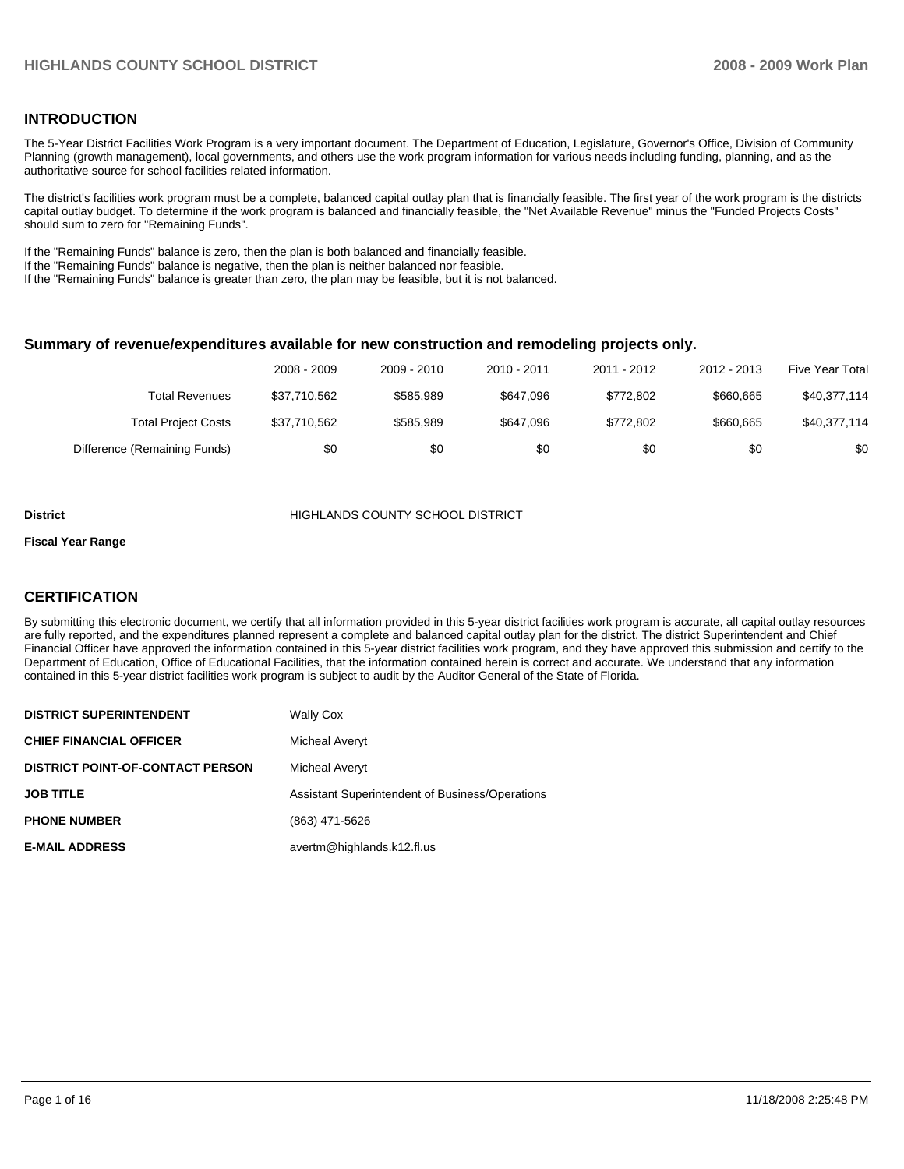#### **INTRODUCTION**

The 5-Year District Facilities Work Program is a very important document. The Department of Education, Legislature, Governor's Office, Division of Community Planning (growth management), local governments, and others use the work program information for various needs including funding, planning, and as the authoritative source for school facilities related information.

The district's facilities work program must be a complete, balanced capital outlay plan that is financially feasible. The first year of the work program is the districts capital outlay budget. To determine if the work program is balanced and financially feasible, the "Net Available Revenue" minus the "Funded Projects Costs" should sum to zero for "Remaining Funds".

If the "Remaining Funds" balance is zero, then the plan is both balanced and financially feasible.

If the "Remaining Funds" balance is negative, then the plan is neither balanced nor feasible.

If the "Remaining Funds" balance is greater than zero, the plan may be feasible, but it is not balanced.

#### **Summary of revenue/expenditures available for new construction and remodeling projects only.**

|                              | 2008 - 2009  | 2009 - 2010 | 2010 - 2011 | 2011 - 2012 | 2012 - 2013 | <b>Five Year Total</b> |
|------------------------------|--------------|-------------|-------------|-------------|-------------|------------------------|
| Total Revenues               | \$37.710.562 | \$585.989   | \$647.096   | \$772.802   | \$660,665   | \$40,377,114           |
| <b>Total Project Costs</b>   | \$37.710.562 | \$585.989   | \$647.096   | \$772.802   | \$660,665   | \$40,377,114           |
| Difference (Remaining Funds) | \$0          | \$0         | \$0         | \$0         | \$0         | \$0                    |

#### **District COUNTY SCHOOL DISTRICT**

#### **Fiscal Year Range**

#### **CERTIFICATION**

By submitting this electronic document, we certify that all information provided in this 5-year district facilities work program is accurate, all capital outlay resources are fully reported, and the expenditures planned represent a complete and balanced capital outlay plan for the district. The district Superintendent and Chief Financial Officer have approved the information contained in this 5-year district facilities work program, and they have approved this submission and certify to the Department of Education, Office of Educational Facilities, that the information contained herein is correct and accurate. We understand that any information contained in this 5-year district facilities work program is subject to audit by the Auditor General of the State of Florida.

| <b>DISTRICT SUPERINTENDENT</b>          | <b>Wally Cox</b>                                |
|-----------------------------------------|-------------------------------------------------|
| <b>CHIEF FINANCIAL OFFICER</b>          | Micheal Averyt                                  |
| <b>DISTRICT POINT-OF-CONTACT PERSON</b> | Micheal Averyt                                  |
| <b>JOB TITLE</b>                        | Assistant Superintendent of Business/Operations |
| <b>PHONE NUMBER</b>                     | (863) 471-5626                                  |
| <b>E-MAIL ADDRESS</b>                   | avertm@highlands.k12.fl.us                      |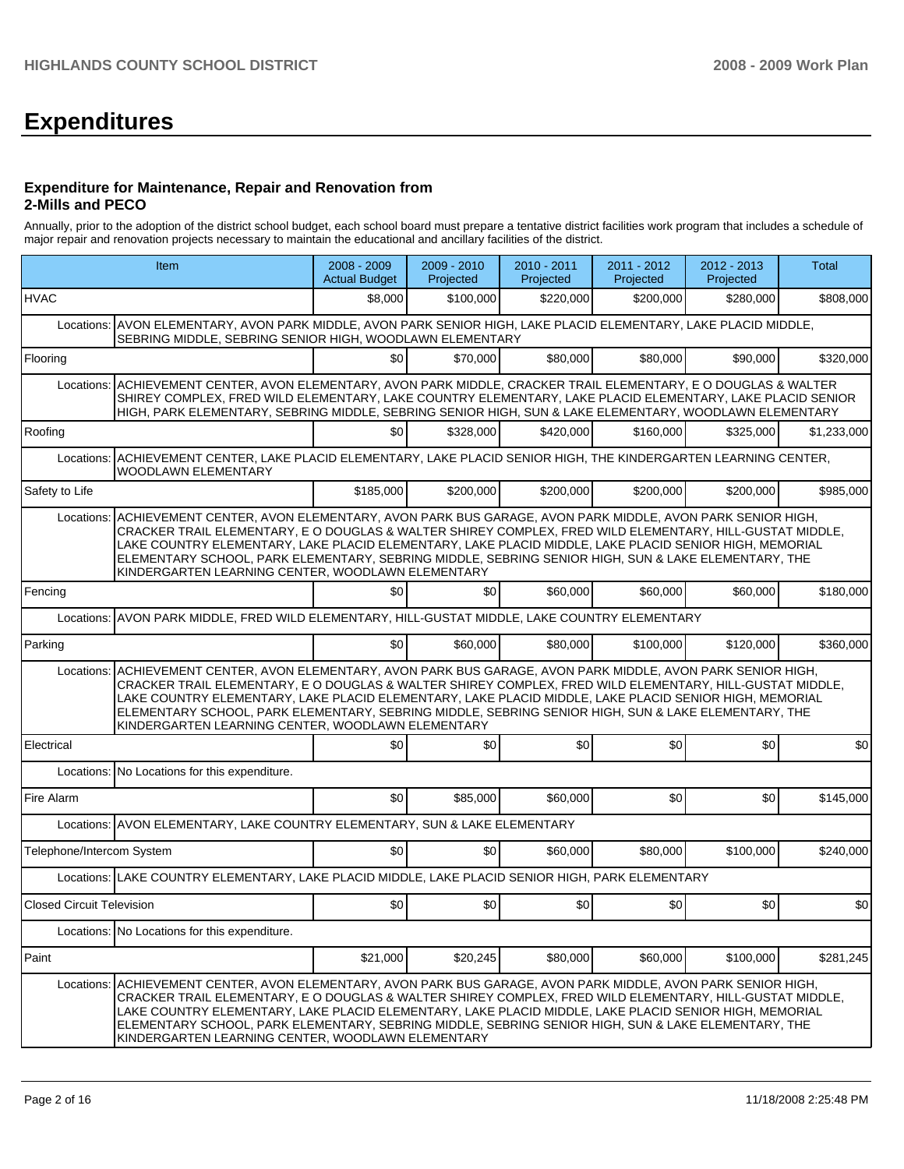# **Expenditures**

#### **Expenditure for Maintenance, Repair and Renovation from 2-Mills and PECO**

Annually, prior to the adoption of the district school budget, each school board must prepare a tentative district facilities work program that includes a schedule of major repair and renovation projects necessary to maintain the educational and ancillary facilities of the district.

|                                  | Item                                                                                                                                                                                                                                                                                                                                                                                                                                                                                                | 2008 - 2009<br><b>Actual Budget</b> | 2009 - 2010<br>Projected | 2010 - 2011<br>Projected | 2011 - 2012<br>Projected | 2012 - 2013<br>Projected | Total       |  |  |  |
|----------------------------------|-----------------------------------------------------------------------------------------------------------------------------------------------------------------------------------------------------------------------------------------------------------------------------------------------------------------------------------------------------------------------------------------------------------------------------------------------------------------------------------------------------|-------------------------------------|--------------------------|--------------------------|--------------------------|--------------------------|-------------|--|--|--|
| <b>HVAC</b>                      |                                                                                                                                                                                                                                                                                                                                                                                                                                                                                                     | \$8,000                             | \$100,000                | \$220,000                | \$200,000                | \$280,000                | \$808,000   |  |  |  |
| Locations:                       | AVON ELEMENTARY, AVON PARK MIDDLE, AVON PARK SENIOR HIGH, LAKE PLACID ELEMENTARY, LAKE PLACID MIDDLE,<br>SEBRING MIDDLE, SEBRING SENIOR HIGH, WOODLAWN ELEMENTARY                                                                                                                                                                                                                                                                                                                                   |                                     |                          |                          |                          |                          |             |  |  |  |
| Flooring                         |                                                                                                                                                                                                                                                                                                                                                                                                                                                                                                     | \$0 <sub>1</sub>                    | \$70,000                 | \$80,000                 | \$80,000                 | \$90,000                 | \$320,000   |  |  |  |
| Locations:                       | ACHIEVEMENT CENTER, AVON ELEMENTARY, AVON PARK MIDDLE, CRACKER TRAIL ELEMENTARY, E O DOUGLAS & WALTER<br>SHIREY COMPLEX, FRED WILD ELEMENTARY, LAKE COUNTRY ELEMENTARY, LAKE PLACID ELEMENTARY, LAKE PLACID SENIOR<br>HIGH, PARK ELEMENTARY, SEBRING MIDDLE, SEBRING SENIOR HIGH, SUN & LAKE ELEMENTARY, WOODLAWN ELEMENTARY                                                                                                                                                                        |                                     |                          |                          |                          |                          |             |  |  |  |
| Roofing                          |                                                                                                                                                                                                                                                                                                                                                                                                                                                                                                     | \$0                                 | \$328,000                | \$420,000                | \$160,000                | \$325,000                | \$1,233,000 |  |  |  |
| Locations:                       | ACHIEVEMENT CENTER, LAKE PLACID ELEMENTARY, LAKE PLACID SENIOR HIGH, THE KINDERGARTEN LEARNING CENTER,<br>WOODLAWN ELEMENTARY                                                                                                                                                                                                                                                                                                                                                                       |                                     |                          |                          |                          |                          |             |  |  |  |
| Safety to Life                   |                                                                                                                                                                                                                                                                                                                                                                                                                                                                                                     | \$185,000                           | \$200,000                | \$200,000                | \$200,000                | \$200,000                | \$985,000   |  |  |  |
|                                  | Locations: ACHIEVEMENT CENTER, AVON ELEMENTARY, AVON PARK BUS GARAGE, AVON PARK MIDDLE, AVON PARK SENIOR HIGH,<br>CRACKER TRAIL ELEMENTARY, E O DOUGLAS & WALTER SHIREY COMPLEX, FRED WILD ELEMENTARY, HILL-GUSTAT MIDDLE,<br>LAKE COUNTRY ELEMENTARY, LAKE PLACID ELEMENTARY, LAKE PLACID MIDDLE, LAKE PLACID SENIOR HIGH, MEMORIAL<br>ELEMENTARY SCHOOL, PARK ELEMENTARY, SEBRING MIDDLE, SEBRING SENIOR HIGH, SUN & LAKE ELEMENTARY, THE<br>KINDERGARTEN LEARNING CENTER, WOODLAWN ELEMENTARY    |                                     |                          |                          |                          |                          |             |  |  |  |
| Fencing                          |                                                                                                                                                                                                                                                                                                                                                                                                                                                                                                     | \$0                                 | \$0                      | \$60,000                 | \$60,000                 | \$60,000                 | \$180,000   |  |  |  |
|                                  | AVON PARK MIDDLE, FRED WILD ELEMENTARY, HILL-GUSTAT MIDDLE, LAKE COUNTRY ELEMENTARY<br>Locations:                                                                                                                                                                                                                                                                                                                                                                                                   |                                     |                          |                          |                          |                          |             |  |  |  |
| Parking                          |                                                                                                                                                                                                                                                                                                                                                                                                                                                                                                     | \$0                                 | \$60,000                 | \$80,000                 | \$100,000                | \$120,000                | \$360,000   |  |  |  |
|                                  | ACHIEVEMENT CENTER, AVON ELEMENTARY, AVON PARK BUS GARAGE, AVON PARK MIDDLE, AVON PARK SENIOR HIGH,<br>Locations:<br>CRACKER TRAIL ELEMENTARY, E O DOUGLAS & WALTER SHIREY COMPLEX, FRED WILD ELEMENTARY, HILL-GUSTAT MIDDLE,<br>LAKE COUNTRY ELEMENTARY, LAKE PLACID ELEMENTARY, LAKE PLACID MIDDLE, LAKE PLACID SENIOR HIGH, MEMORIAL<br>ELEMENTARY SCHOOL, PARK ELEMENTARY, SEBRING MIDDLE, SEBRING SENIOR HIGH, SUN & LAKE ELEMENTARY, THE<br>KINDERGARTEN LEARNING CENTER, WOODLAWN ELEMENTARY |                                     |                          |                          |                          |                          |             |  |  |  |
| Electrical                       |                                                                                                                                                                                                                                                                                                                                                                                                                                                                                                     | \$0                                 | \$0                      | \$0                      | \$0                      | \$0                      | \$0         |  |  |  |
|                                  | Locations: No Locations for this expenditure.                                                                                                                                                                                                                                                                                                                                                                                                                                                       |                                     |                          |                          |                          |                          |             |  |  |  |
| Fire Alarm                       |                                                                                                                                                                                                                                                                                                                                                                                                                                                                                                     | \$0                                 | \$85,000                 | \$60,000                 | \$0                      | \$0                      | \$145,000   |  |  |  |
|                                  | Locations: AVON ELEMENTARY, LAKE COUNTRY ELEMENTARY, SUN & LAKE ELEMENTARY                                                                                                                                                                                                                                                                                                                                                                                                                          |                                     |                          |                          |                          |                          |             |  |  |  |
| Telephone/Intercom System        |                                                                                                                                                                                                                                                                                                                                                                                                                                                                                                     | \$0                                 | \$0                      | \$60,000                 | \$80,000                 | \$100,000                | \$240,000   |  |  |  |
|                                  | Locations: LAKE COUNTRY ELEMENTARY, LAKE PLACID MIDDLE, LAKE PLACID SENIOR HIGH, PARK ELEMENTARY                                                                                                                                                                                                                                                                                                                                                                                                    |                                     |                          |                          |                          |                          |             |  |  |  |
| <b>Closed Circuit Television</b> |                                                                                                                                                                                                                                                                                                                                                                                                                                                                                                     | \$0                                 | \$0                      | \$0                      | \$0                      | \$0                      | \$0         |  |  |  |
|                                  | Locations: No Locations for this expenditure.                                                                                                                                                                                                                                                                                                                                                                                                                                                       |                                     |                          |                          |                          |                          |             |  |  |  |
| Paint                            |                                                                                                                                                                                                                                                                                                                                                                                                                                                                                                     | \$21,000                            | \$20,245                 | \$80,000                 | \$60,000                 | \$100,000                | \$281,245   |  |  |  |
| Locations:                       | ACHIEVEMENT CENTER, AVON ELEMENTARY, AVON PARK BUS GARAGE, AVON PARK MIDDLE, AVON PARK SENIOR HIGH,<br>CRACKER TRAIL ELEMENTARY, E O DOUGLAS & WALTER SHIREY COMPLEX, FRED WILD ELEMENTARY, HILL-GUSTAT MIDDLE,<br>LAKE COUNTRY ELEMENTARY, LAKE PLACID ELEMENTARY, LAKE PLACID MIDDLE, LAKE PLACID SENIOR HIGH, MEMORIAL<br>ELEMENTARY SCHOOL, PARK ELEMENTARY, SEBRING MIDDLE, SEBRING SENIOR HIGH, SUN & LAKE ELEMENTARY, THE<br>KINDERGARTEN LEARNING CENTER, WOODLAWN ELEMENTARY               |                                     |                          |                          |                          |                          |             |  |  |  |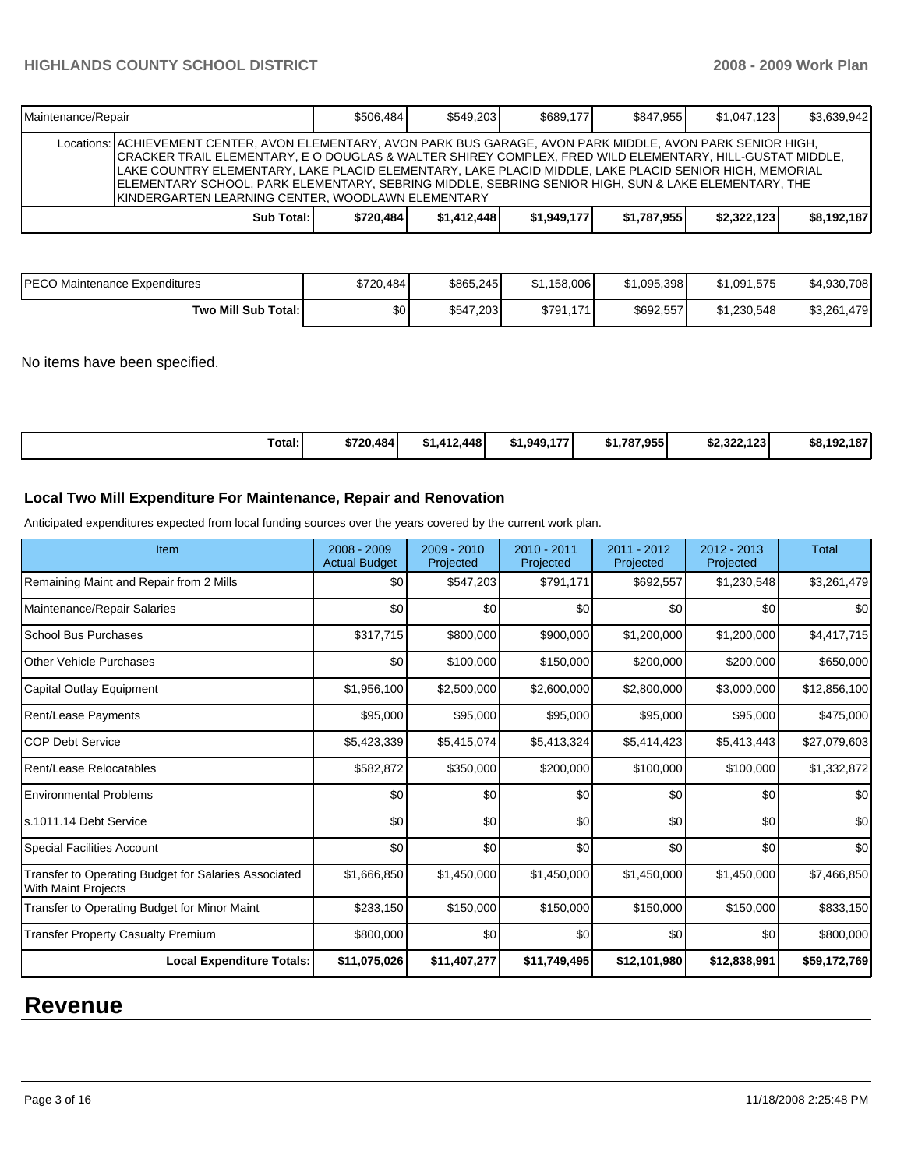| <b>IMaintenance/Repair</b> |                                                                                                                                                                                                                                                                                                                                                                                                                                                                                                   | \$506.484 | \$549.203   | \$689,177   | \$847.955   | \$1.047.123 | \$3,639,942 |
|----------------------------|---------------------------------------------------------------------------------------------------------------------------------------------------------------------------------------------------------------------------------------------------------------------------------------------------------------------------------------------------------------------------------------------------------------------------------------------------------------------------------------------------|-----------|-------------|-------------|-------------|-------------|-------------|
|                            | Locations: ACHIEVEMENT CENTER, AVON ELEMENTARY, AVON PARK BUS GARAGE, AVON PARK MIDDLE, AVON PARK SENIOR HIGH,<br>CRACKER TRAIL ELEMENTARY, E O DOUGLAS & WALTER SHIREY COMPLEX, FRED WILD ELEMENTARY, HILL-GUSTAT MIDDLE,<br>LAKE COUNTRY ELEMENTARY, LAKE PLACID ELEMENTARY, LAKE PLACID MIDDLE, LAKE PLACID SENIOR HIGH, MEMORIAL<br>ELEMENTARY SCHOOL, PARK ELEMENTARY, SEBRING MIDDLE, SEBRING SENIOR HIGH, SUN & LAKE ELEMENTARY, THE<br>IKINDERGARTEN LEARNING CENTER. WOODLAWN ELEMENTARY |           |             |             |             |             |             |
|                            | Sub Total:                                                                                                                                                                                                                                                                                                                                                                                                                                                                                        | \$720.484 | \$1,412,448 | \$1,949,177 | \$1.787.955 | \$2,322,123 | \$8,192,187 |

| <b>PECO Maintenance Expenditures</b> | \$720.484 | \$865.245 | \$1,158,006 | \$1,095,398 | \$1,091,575 | \$4,930,708 |
|--------------------------------------|-----------|-----------|-------------|-------------|-------------|-------------|
| Two Mill Sub Total: I                | \$0 I     | \$547,203 | \$791.171   | \$692.557   | \$1.230.548 | \$3,261,479 |

No items have been specified.

| Total: | \$720,484 | \$1.412.448 | \$1,949,177 | \$1.787.955 | \$2,322,123 | \$8,192,187 |
|--------|-----------|-------------|-------------|-------------|-------------|-------------|
|--------|-----------|-------------|-------------|-------------|-------------|-------------|

## **Local Two Mill Expenditure For Maintenance, Repair and Renovation**

Anticipated expenditures expected from local funding sources over the years covered by the current work plan.

| Item                                                                               | 2008 - 2009<br><b>Actual Budget</b> | 2009 - 2010<br>Projected | 2010 - 2011<br>Projected | 2011 - 2012<br>Projected | 2012 - 2013<br>Projected | Total        |
|------------------------------------------------------------------------------------|-------------------------------------|--------------------------|--------------------------|--------------------------|--------------------------|--------------|
| Remaining Maint and Repair from 2 Mills                                            | \$0                                 | \$547,203                | \$791,171                | \$692,557                | \$1,230,548              | \$3,261,479  |
| Maintenance/Repair Salaries                                                        | \$0                                 | \$0                      | \$0                      | \$0                      | \$0                      | \$0          |
| <b>School Bus Purchases</b>                                                        | \$317,715                           | \$800,000                | \$900,000                | \$1,200,000              | \$1,200,000              | \$4,417,715  |
| <b>Other Vehicle Purchases</b>                                                     | \$0                                 | \$100,000                | \$150,000                | \$200,000                | \$200,000                | \$650,000    |
| Capital Outlay Equipment                                                           | \$1,956,100                         | \$2,500,000              | \$2,600,000              | \$2,800,000              | \$3,000,000              | \$12,856,100 |
| <b>Rent/Lease Payments</b>                                                         | \$95,000                            | \$95,000                 | \$95,000                 | \$95,000                 | \$95,000                 | \$475,000    |
| <b>COP Debt Service</b>                                                            | \$5,423,339                         | \$5,415,074              | \$5,413,324              | \$5,414,423              | \$5,413,443              | \$27,079,603 |
| Rent/Lease Relocatables                                                            | \$582,872                           | \$350,000                | \$200,000                | \$100,000                | \$100,000                | \$1,332,872  |
| <b>Environmental Problems</b>                                                      | \$0                                 | \$0                      | \$0                      | \$0                      | \$0                      | \$0          |
| s.1011.14 Debt Service                                                             | \$0                                 | \$0                      | \$0                      | \$0                      | \$0                      | \$0          |
| <b>Special Facilities Account</b>                                                  | \$0                                 | \$0                      | \$0                      | \$0                      | \$0                      | \$0          |
| Transfer to Operating Budget for Salaries Associated<br><b>With Maint Projects</b> | \$1,666,850                         | \$1,450,000              | \$1,450,000              | \$1,450,000              | \$1,450,000              | \$7,466,850  |
| Transfer to Operating Budget for Minor Maint                                       | \$233,150                           | \$150,000                | \$150,000                | \$150,000                | \$150,000                | \$833,150    |
| <b>Transfer Property Casualty Premium</b>                                          | \$800,000                           | \$0                      | \$0                      | \$0                      | \$0                      | \$800,000    |
| <b>Local Expenditure Totals:</b>                                                   | \$11,075,026                        | \$11,407,277             | \$11,749,495             | \$12,101,980             | \$12,838,991             | \$59,172,769 |

# **Revenue**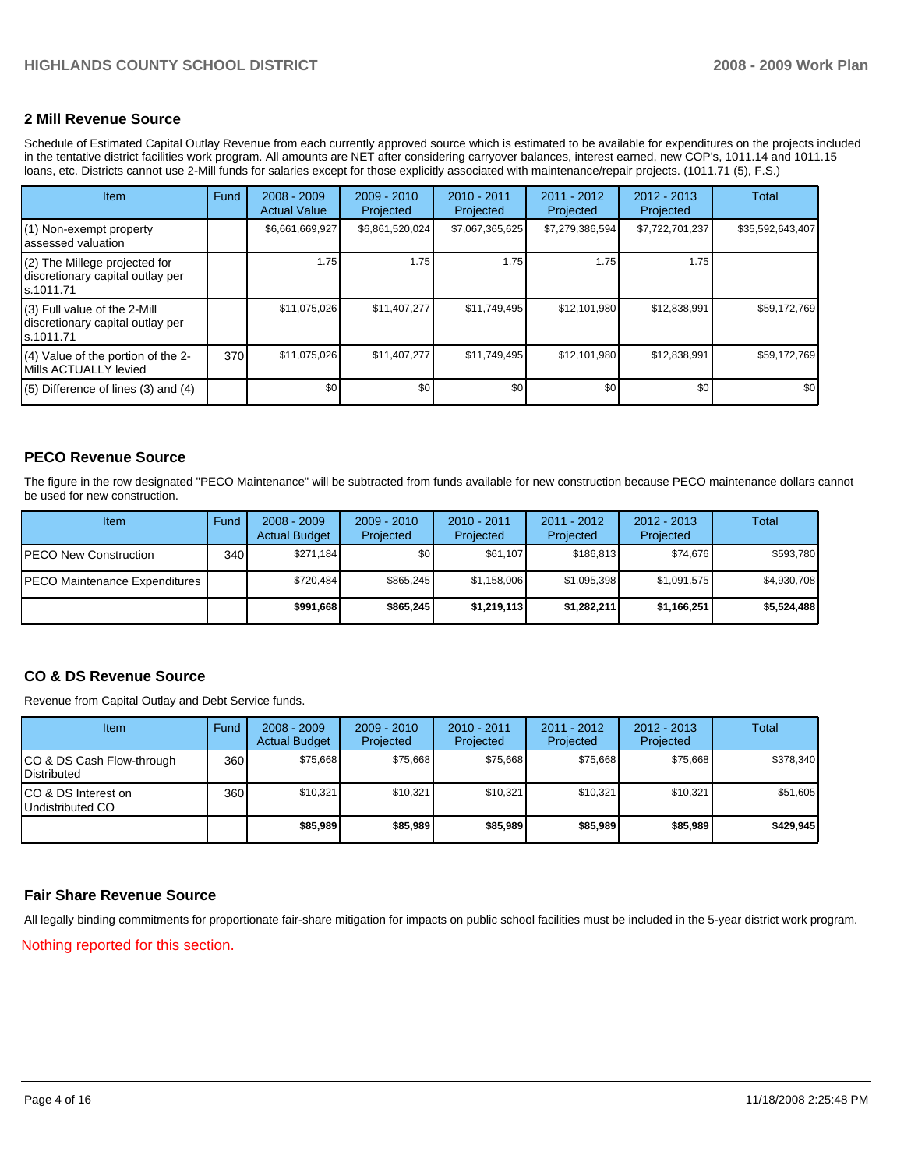#### **2 Mill Revenue Source**

Schedule of Estimated Capital Outlay Revenue from each currently approved source which is estimated to be available for expenditures on the projects included in the tentative district facilities work program. All amounts are NET after considering carryover balances, interest earned, new COP's, 1011.14 and 1011.15 loans, etc. Districts cannot use 2-Mill funds for salaries except for those explicitly associated with maintenance/repair projects. (1011.71 (5), F.S.)

| <b>Item</b>                                                                     | Fund | $2008 - 2009$<br><b>Actual Value</b> | $2009 - 2010$<br>Projected | $2010 - 2011$<br>Projected | 2011 - 2012<br>Projected | 2012 - 2013<br>Projected | Total            |
|---------------------------------------------------------------------------------|------|--------------------------------------|----------------------------|----------------------------|--------------------------|--------------------------|------------------|
| (1) Non-exempt property<br>assessed valuation                                   |      | \$6,661,669,927                      | \$6,861,520,024            | \$7,067,365,625            | \$7,279,386,594          | \$7,722,701,237          | \$35,592,643,407 |
| (2) The Millege projected for<br>discretionary capital outlay per<br>ls.1011.71 |      | 1.75                                 | 1.75                       | 1.75                       | 1.75                     | 1.75                     |                  |
| (3) Full value of the 2-Mill<br>discretionary capital outlay per<br>ls.1011.71  |      | \$11,075,026                         | \$11,407,277               | \$11,749,495               | \$12,101,980             | \$12,838,991             | \$59,172,769     |
| (4) Value of the portion of the 2-<br>Mills ACTUALLY levied                     | 370  | \$11,075,026                         | \$11,407,277               | \$11,749,495               | \$12,101,980             | \$12,838,991             | \$59,172,769     |
| $(5)$ Difference of lines (3) and (4)                                           |      | \$0                                  | \$0                        | \$0                        | \$0                      | \$0                      | \$0              |

#### **PECO Revenue Source**

The figure in the row designated "PECO Maintenance" will be subtracted from funds available for new construction because PECO maintenance dollars cannot be used for new construction.

| Item                                  | Fund         | $2008 - 2009$<br><b>Actual Budget</b> | $2009 - 2010$<br>Projected | $2010 - 2011$<br>Projected | 2011 - 2012<br>Projected | $2012 - 2013$<br>Projected | Total       |
|---------------------------------------|--------------|---------------------------------------|----------------------------|----------------------------|--------------------------|----------------------------|-------------|
| <b>PECO New Construction</b>          | 340 <b>I</b> | \$271.184                             | \$0 <sub>1</sub>           | \$61.107                   | \$186.813                | \$74,676                   | \$593,780   |
| <b>IPECO Maintenance Expenditures</b> |              | \$720.484                             | \$865.245                  | \$1,158,006                | \$1.095.398              | \$1,091,575                | \$4,930,708 |
|                                       |              | \$991.668                             | \$865,245                  | \$1,219,113                | \$1,282,211              | \$1,166,251                | \$5,524,488 |

#### **CO & DS Revenue Source**

Revenue from Capital Outlay and Debt Service funds.

| <b>Item</b>                                        | Fund | $2008 - 2009$<br><b>Actual Budget</b> | $2009 - 2010$<br>Projected | $2010 - 2011$<br>Projected | 2011 - 2012<br>Projected | $2012 - 2013$<br>Projected | Total     |
|----------------------------------------------------|------|---------------------------------------|----------------------------|----------------------------|--------------------------|----------------------------|-----------|
| ICO & DS Cash Flow-through<br><b>I</b> Distributed | 360  | \$75.668                              | \$75.668                   | \$75.668                   | \$75.668                 | \$75.668                   | \$378,340 |
| ICO & DS Interest on<br>Undistributed CO           | 360  | \$10.321                              | \$10.321                   | \$10.321                   | \$10.321                 | \$10,321                   | \$51,605  |
|                                                    |      | \$85,989                              | \$85,989                   | \$85,989                   | \$85,989                 | \$85,989                   | \$429,945 |

#### **Fair Share Revenue Source**

All legally binding commitments for proportionate fair-share mitigation for impacts on public school facilities must be included in the 5-year district work program. Nothing reported for this section.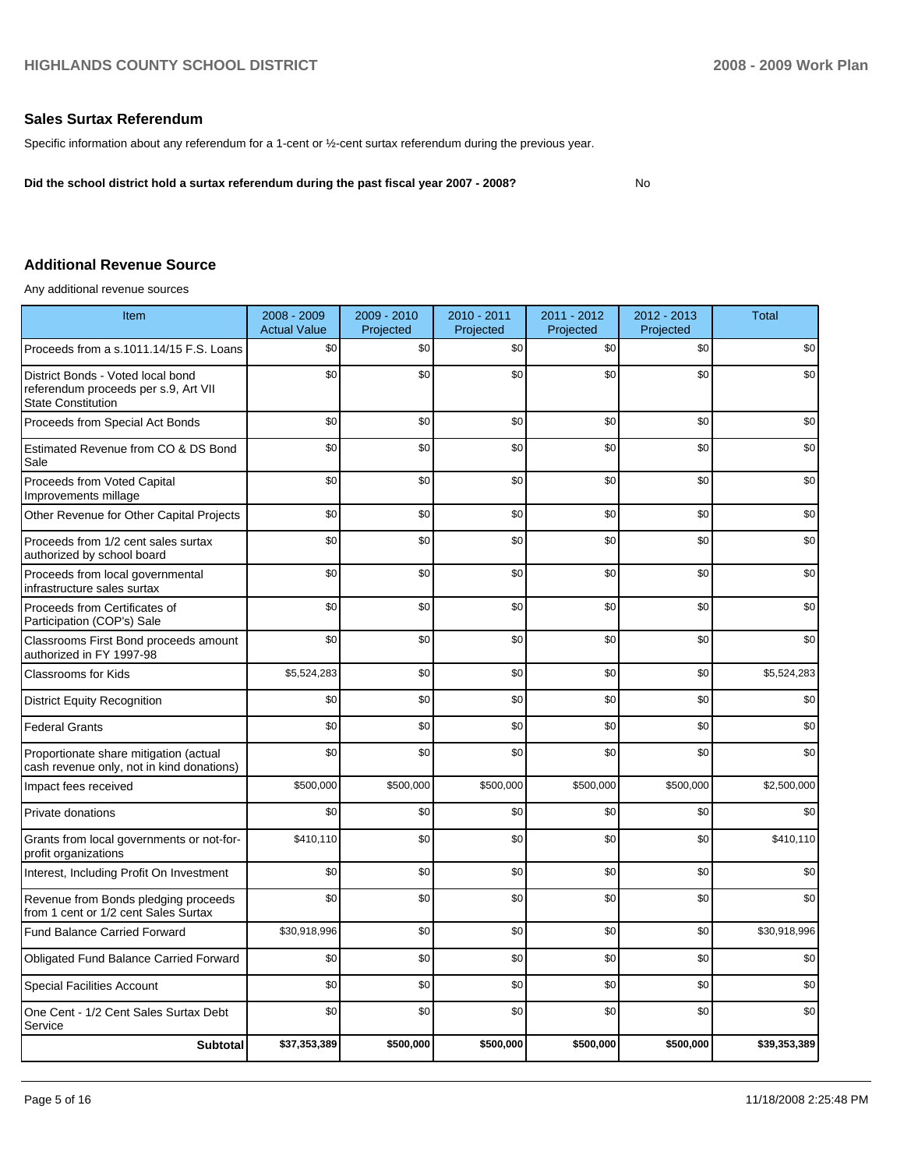#### **Sales Surtax Referendum**

Specific information about any referendum for a 1-cent or ½-cent surtax referendum during the previous year.

**Did the school district hold a surtax referendum during the past fiscal year 2007 - 2008?** No

#### **Additional Revenue Source**

Any additional revenue sources

| Item                                                                                                   | 2008 - 2009<br><b>Actual Value</b> | 2009 - 2010<br>Projected | 2010 - 2011<br>Projected | 2011 - 2012<br>Projected | 2012 - 2013<br>Projected | <b>Total</b> |
|--------------------------------------------------------------------------------------------------------|------------------------------------|--------------------------|--------------------------|--------------------------|--------------------------|--------------|
| Proceeds from a s.1011.14/15 F.S. Loans                                                                | \$0                                | \$0                      | \$0                      | \$0                      | \$0                      | \$0          |
| District Bonds - Voted local bond<br>referendum proceeds per s.9, Art VII<br><b>State Constitution</b> | \$0                                | \$0                      | \$0                      | \$0                      | \$0                      | \$0          |
| Proceeds from Special Act Bonds                                                                        | \$0                                | \$0                      | \$0                      | \$0                      | \$0                      | \$0          |
| Estimated Revenue from CO & DS Bond<br>Sale                                                            | \$0                                | \$0                      | \$0                      | \$0                      | \$0                      | \$0          |
| Proceeds from Voted Capital<br>Improvements millage                                                    | \$0                                | \$0                      | \$0                      | \$0                      | \$0                      | \$0          |
| Other Revenue for Other Capital Projects                                                               | \$0                                | \$0                      | \$0                      | \$0                      | \$0                      | \$0          |
| Proceeds from 1/2 cent sales surtax<br>authorized by school board                                      | \$0                                | \$0                      | \$0                      | \$0                      | \$0                      | \$0          |
| Proceeds from local governmental<br>infrastructure sales surtax                                        | \$0                                | \$0                      | \$0                      | \$0                      | \$0                      | \$0          |
| Proceeds from Certificates of<br>Participation (COP's) Sale                                            | \$0                                | \$0                      | \$0                      | \$0                      | \$0                      | \$0          |
| Classrooms First Bond proceeds amount<br>authorized in FY 1997-98                                      | \$0                                | \$0                      | \$0                      | \$0                      | \$0                      | \$0          |
| <b>Classrooms for Kids</b>                                                                             | \$5,524,283                        | \$0                      | \$0                      | \$0                      | \$0                      | \$5,524,283  |
| <b>District Equity Recognition</b>                                                                     | \$0                                | \$0                      | \$0                      | \$0                      | \$0                      | \$0          |
| <b>Federal Grants</b>                                                                                  | \$0                                | \$0                      | \$0                      | \$0                      | \$0                      | \$0          |
| Proportionate share mitigation (actual<br>cash revenue only, not in kind donations)                    | \$0                                | \$0                      | \$0                      | \$0                      | \$0                      | \$0          |
| Impact fees received                                                                                   | \$500,000                          | \$500,000                | \$500,000                | \$500,000                | \$500,000                | \$2,500,000  |
| Private donations                                                                                      | \$0                                | \$0                      | \$0                      | \$0                      | \$0                      | \$0          |
| Grants from local governments or not-for-<br>profit organizations                                      | \$410,110                          | \$0                      | \$0                      | \$0                      | \$0                      | \$410,110    |
| Interest, Including Profit On Investment                                                               | \$0                                | \$0                      | \$0                      | \$0                      | \$0                      | \$0          |
| Revenue from Bonds pledging proceeds<br>from 1 cent or 1/2 cent Sales Surtax                           | \$0                                | \$0                      | \$0                      | \$0                      | \$0                      | \$0          |
| <b>Fund Balance Carried Forward</b>                                                                    | \$30,918,996                       | \$0                      | \$0                      | \$0                      | \$0                      | \$30,918,996 |
| <b>Obligated Fund Balance Carried Forward</b>                                                          | \$0                                | \$0                      | \$0                      | \$0                      | \$0                      | \$0          |
| <b>Special Facilities Account</b>                                                                      | \$0                                | \$0                      | \$0                      | \$0                      | \$0                      | \$0          |
| One Cent - 1/2 Cent Sales Surtax Debt<br>Service                                                       | \$0                                | \$0                      | \$0                      | \$0                      | \$0                      | \$0          |
| <b>Subtotal</b>                                                                                        | \$37,353,389                       | \$500,000                | \$500,000                | \$500,000                | \$500,000                | \$39,353,389 |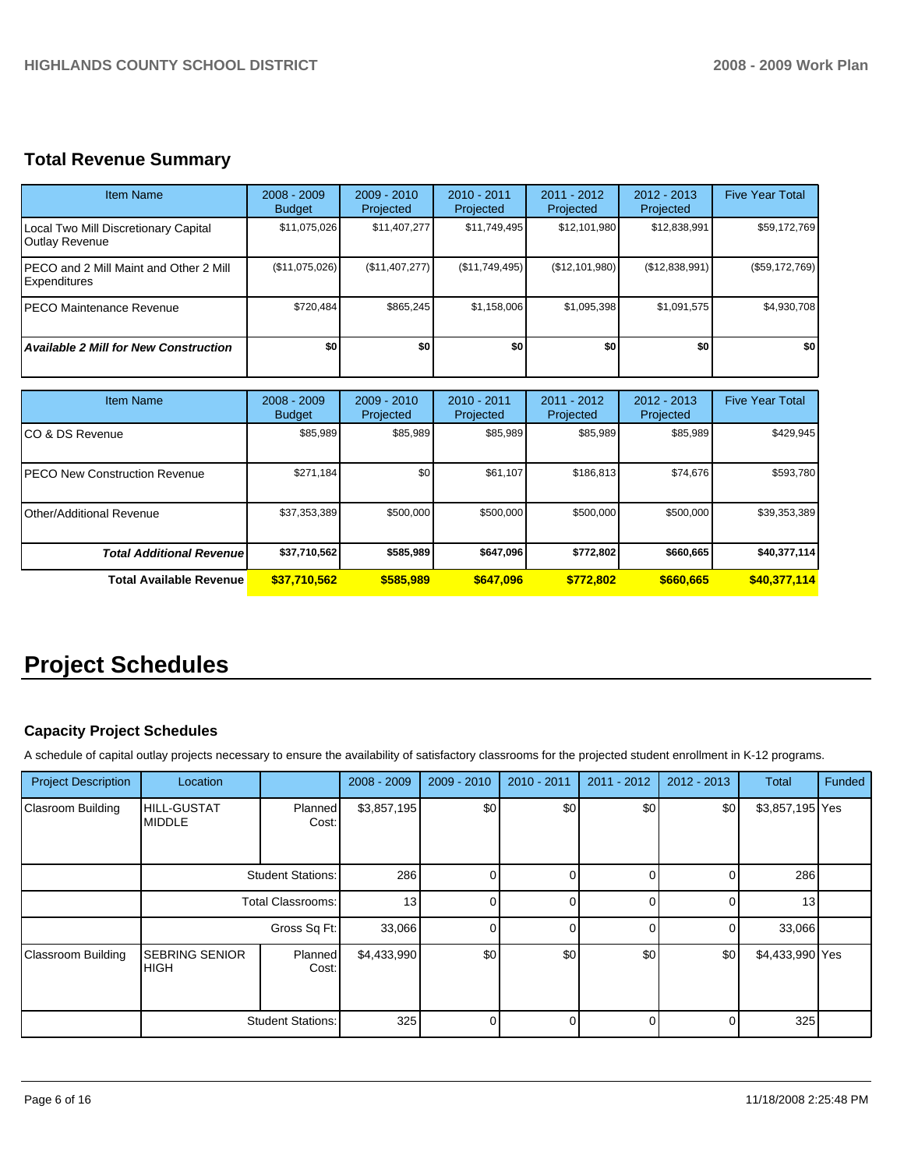# **Total Revenue Summary**

| <b>Item Name</b>                                               | $2008 - 2009$<br><b>Budget</b> | $2009 - 2010$<br>Projected | $2010 - 2011$<br>Projected | $2011 - 2012$<br>Projected | $2012 - 2013$<br>Projected | <b>Five Year Total</b> |
|----------------------------------------------------------------|--------------------------------|----------------------------|----------------------------|----------------------------|----------------------------|------------------------|
| Local Two Mill Discretionary Capital<br>Outlay Revenue         | \$11,075,026                   | \$11,407,277               | \$11,749,495               | \$12,101,980               | \$12,838,991               | \$59,172,769           |
| IPECO and 2 Mill Maint and Other 2 Mill<br><b>Expenditures</b> | (\$11,075,026)                 | (\$11,407,277)             | (\$11,749,495)             | (S12, 101, 980)            | (\$12,838,991)             | (\$59,172,769)         |
| IPECO Maintenance Revenue                                      | \$720,484                      | \$865.245                  | \$1,158,006                | \$1,095,398                | \$1,091,575                | \$4,930,708            |
| <b>Available 2 Mill for New Construction</b>                   | \$0                            | \$O                        | \$0                        | \$0                        | \$O                        | \$0                    |

| <b>Item Name</b>                      | $2008 - 2009$<br><b>Budget</b> | $2009 - 2010$<br>Projected | $2010 - 2011$<br>Projected | $2011 - 2012$<br>Projected | $2012 - 2013$<br>Projected | <b>Five Year Total</b> |
|---------------------------------------|--------------------------------|----------------------------|----------------------------|----------------------------|----------------------------|------------------------|
| ICO & DS Revenue                      | \$85,989                       | \$85,989                   | \$85,989                   | \$85,989                   | \$85,989                   | \$429,945              |
| <b>IPECO New Construction Revenue</b> | \$271,184                      | \$0                        | \$61,107                   | \$186,813                  | \$74,676                   | \$593,780              |
| Other/Additional Revenue              | \$37,353,389                   | \$500,000                  | \$500.000                  | \$500,000                  | \$500,000                  | \$39,353,389           |
| <b>Total Additional Revenuel</b>      | \$37,710,562                   | \$585,989                  | \$647,096                  | \$772,802                  | \$660,665                  | \$40,377,114           |
| <b>Total Available Revenue</b>        | \$37,710,562                   | \$585,989                  | \$647,096                  | \$772,802                  | \$660,665                  | \$40,377,114           |

# **Project Schedules**

## **Capacity Project Schedules**

A schedule of capital outlay projects necessary to ensure the availability of satisfactory classrooms for the projected student enrollment in K-12 programs.

| <b>Project Description</b> | Location                             |                          | $2008 - 2009$ | $2009 - 2010$ | 2010 - 2011    | $2011 - 2012$ | $2012 - 2013$ | Total           | Funded |
|----------------------------|--------------------------------------|--------------------------|---------------|---------------|----------------|---------------|---------------|-----------------|--------|
| Clasroom Building          | <b>HILL-GUSTAT</b><br><b>MIDDLE</b>  | Planned<br>Cost:         | \$3,857,195   | \$0           | \$0            | \$0           | \$0           | \$3,857,195 Yes |        |
|                            | <b>Student Stations:</b>             |                          | 286           | $\Omega$      | $\Omega$       | $\Omega$      | 0             | 286             |        |
|                            | Total Classrooms:                    |                          | 13            | $\Omega$      | $\overline{0}$ | 0             | 0             | 13              |        |
|                            | Gross Sq Ft:                         |                          | 33,066        |               | $\overline{0}$ | 0             | $\Omega$      | 33,066          |        |
| <b>Classroom Building</b>  | <b>SEBRING SENIOR</b><br><b>HIGH</b> | Planned<br>Cost:         | \$4,433,990   | \$0           | \$0            | \$0           | \$0           | \$4,433,990 Yes |        |
|                            |                                      | <b>Student Stations:</b> | 325           | $\Omega$      | $\overline{0}$ | 0             | 0             | 325             |        |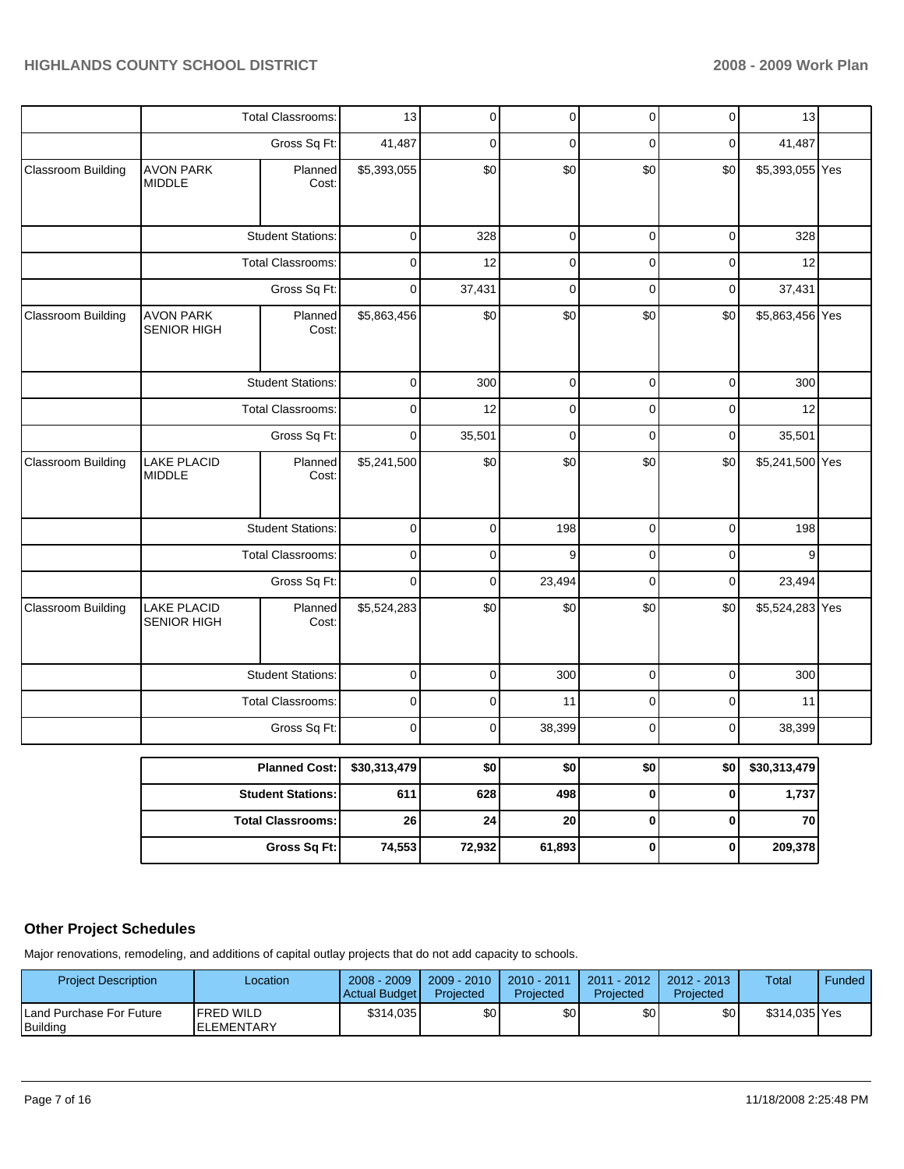|                           |                                        | Total Classrooms:        | 13           | 0           | 0           | 0           | 0           | 13              |  |
|---------------------------|----------------------------------------|--------------------------|--------------|-------------|-------------|-------------|-------------|-----------------|--|
|                           |                                        | Gross Sq Ft:             | 41,487       | $\mathbf 0$ | $\mathbf 0$ | $\mathbf 0$ | $\mathbf 0$ | 41,487          |  |
| Classroom Building        | <b>AVON PARK</b><br><b>MIDDLE</b>      | Planned<br>Cost:         | \$5,393,055  | \$0         | \$0         | \$0         | \$0         | \$5,393,055 Yes |  |
|                           |                                        | <b>Student Stations:</b> | 0            | 328         | 0           | $\mathbf 0$ | $\mathbf 0$ | 328             |  |
|                           |                                        | <b>Total Classrooms:</b> | 0            | 12          | $\mathbf 0$ | 0           | 0           | 12              |  |
|                           |                                        | Gross Sq Ft:             | $\mathbf 0$  | 37,431      | $\mathbf 0$ | $\mathbf 0$ | $\mathbf 0$ | 37,431          |  |
| <b>Classroom Building</b> | <b>AVON PARK</b><br><b>SENIOR HIGH</b> | Planned<br>Cost:         | \$5,863,456  | \$0         | \$0         | \$0         | \$0         | \$5,863,456 Yes |  |
|                           |                                        | <b>Student Stations:</b> | $\mathbf 0$  | 300         | $\mathbf 0$ | $\pmb{0}$   | $\pmb{0}$   | 300             |  |
|                           |                                        | Total Classrooms:        | $\pmb{0}$    | 12          | 0           | $\mathbf 0$ | $\mathbf 0$ | 12              |  |
|                           |                                        | Gross Sq Ft:             | $\mathbf 0$  | 35,501      | $\mathbf 0$ | $\mathbf 0$ | $\mathbf 0$ | 35,501          |  |
| Classroom Building        | <b>LAKE PLACID</b><br><b>MIDDLE</b>    | Planned<br>Cost:         | \$5,241,500  | \$0         | \$0         | \$0         | \$0         | \$5,241,500 Yes |  |
|                           |                                        | <b>Student Stations:</b> | $\pmb{0}$    | $\pmb{0}$   | 198         | 0           | 0           | 198             |  |
|                           |                                        | <b>Total Classrooms:</b> | $\mathbf 0$  | 0           | 9           | 0           | $\mathbf 0$ | 9               |  |
|                           |                                        | Gross Sq Ft:             | $\mathbf 0$  | 0           | 23,494      | $\mathbf 0$ | 0           | 23,494          |  |
| <b>Classroom Building</b> | <b>LAKE PLACID</b><br>SENIOR HIGH      | Planned<br>Cost:         | \$5,524,283  | \$0         | \$0         | \$0         | \$0         | \$5,524,283 Yes |  |
|                           |                                        | <b>Student Stations:</b> | $\mathbf 0$  | 0           | 300         | $\mathbf 0$ | $\mathbf 0$ | 300             |  |
|                           |                                        | <b>Total Classrooms:</b> | $\mathbf 0$  | 0           | 11          | 0           | $\pmb{0}$   | 11              |  |
|                           |                                        | Gross Sq Ft:             | 0            | $\mathbf 0$ | 38,399      | 0           | $\mathbf 0$ | 38,399          |  |
|                           |                                        | <b>Planned Cost:</b>     | \$30,313,479 | \$0         | \$0         | \$0         | \$0         | \$30,313,479    |  |
|                           |                                        | <b>Student Stations:</b> | 611          | 628         | 498         | $\bf{0}$    | $\bf{0}$    | 1,737           |  |
|                           |                                        | <b>Total Classrooms:</b> | 26           | 24          | 20          | 0           | 0           | 70              |  |
|                           |                                        | Gross Sq Ft:             | 74,553       | 72,932      | 61,893      | 0           | 0           | 209,378         |  |

# **Other Project Schedules**

Major renovations, remodeling, and additions of capital outlay projects that do not add capacity to schools.

| <b>Project Description</b>           | _ocation                                | $2008 - 2009$<br>Actual Budget | $2009 - 2010$<br>Projected | 2010 - 2011<br>Projected | $2011 - 2012$<br>Projected | $2012 - 2013$<br>Projected | Total         | Funded |
|--------------------------------------|-----------------------------------------|--------------------------------|----------------------------|--------------------------|----------------------------|----------------------------|---------------|--------|
| Land Purchase For Future<br>Building | <b>IFRED WILD</b><br><b>IELEMENTARY</b> | \$314,035                      | \$0 <sub>1</sub>           | \$0                      | \$0                        | \$0                        | \$314,035 Yes |        |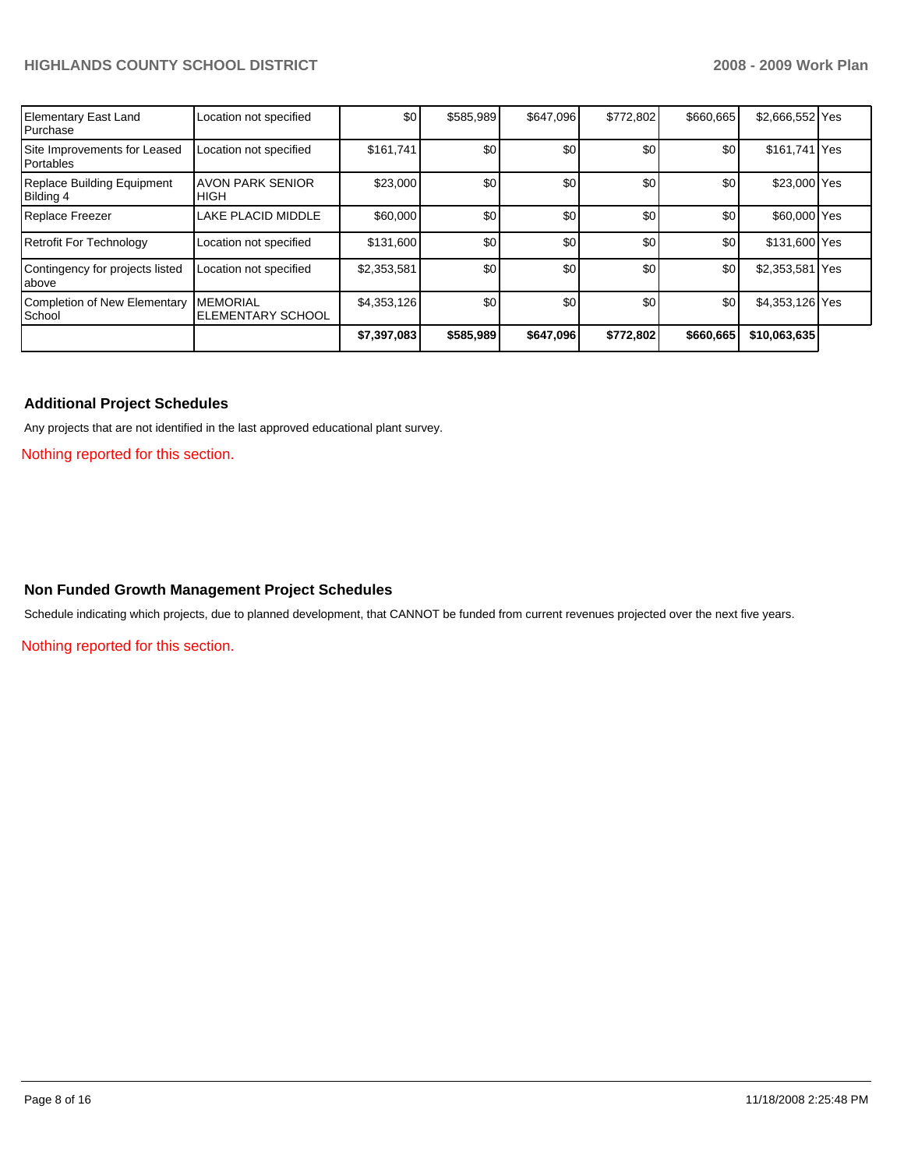| <b>Elementary East Land</b><br>Purchase        | Location not specified                      | \$0         | \$585,989 | \$647,096        | \$772,802 | \$660,665 | \$2,666,552 Yes |  |
|------------------------------------------------|---------------------------------------------|-------------|-----------|------------------|-----------|-----------|-----------------|--|
| Site Improvements for Leased<br>Portables      | Location not specified                      | \$161,741   | \$0       | \$0 <sub>1</sub> | \$0       | \$0       | \$161,741 Yes   |  |
| <b>Replace Building Equipment</b><br>Bilding 4 | <b>AVON PARK SENIOR</b><br><b>HIGH</b>      | \$23,000    | \$0       | \$0              | \$0       | \$0       | \$23,000 Yes    |  |
| Replace Freezer                                | LAKE PLACID MIDDLE                          | \$60,000    | \$0       | \$0              | \$0       | \$0       | \$60,000 Yes    |  |
| <b>Retrofit For Technology</b>                 | Location not specified                      | \$131,600   | \$0       | \$0              | \$0       | \$0       | \$131,600 Yes   |  |
| Contingency for projects listed<br>labove      | Location not specified                      | \$2,353,581 | \$0       | \$0              | \$0       | \$0       | \$2,353,581 Yes |  |
| <b>Completion of New Elementary</b><br>School  | <b>MEMORIAL</b><br><b>ELEMENTARY SCHOOL</b> | \$4,353,126 | \$0       | \$0              | \$0       | \$0       | \$4,353,126 Yes |  |
|                                                |                                             | \$7,397,083 | \$585,989 | \$647,096        | \$772,802 | \$660,665 | \$10,063,635    |  |

#### **Additional Project Schedules**

Any projects that are not identified in the last approved educational plant survey.

Nothing reported for this section.

#### **Non Funded Growth Management Project Schedules**

Schedule indicating which projects, due to planned development, that CANNOT be funded from current revenues projected over the next five years.

Nothing reported for this section.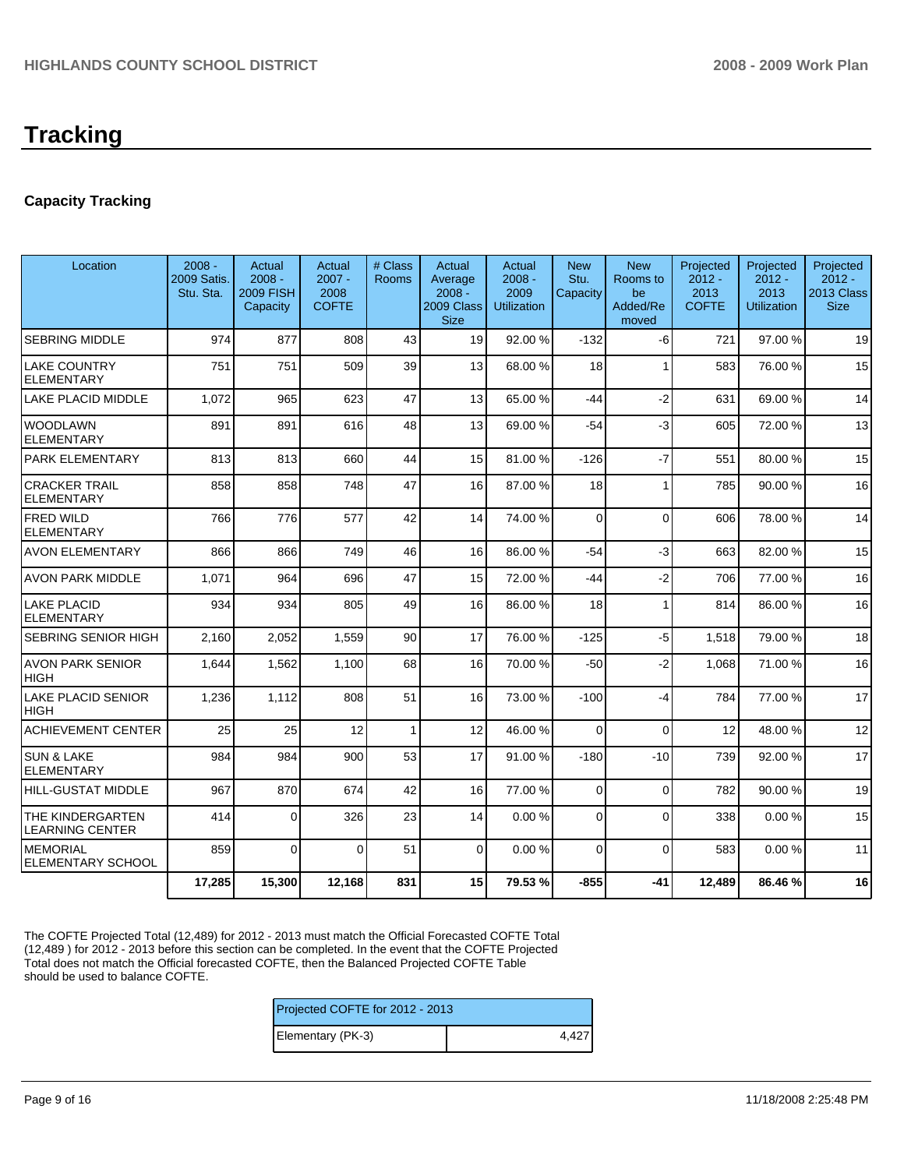# **Tracking**

# **Capacity Tracking**

| Location                                   | $2008 -$<br>2009 Satis.<br>Stu. Sta. | Actual<br>$2008 -$<br><b>2009 FISH</b><br>Capacity | Actual<br>$2007 -$<br>2008<br><b>COFTE</b> | # Class<br><b>Rooms</b> | Actual<br>Average<br>$2008 -$<br>2009 Class<br><b>Size</b> | Actual<br>$2008 -$<br>2009<br><b>Utilization</b> | <b>New</b><br>Stu.<br>Capacity | <b>New</b><br>Rooms to<br>be<br>Added/Re<br>moved | Projected<br>$2012 -$<br>2013<br><b>COFTE</b> | Projected<br>$2012 -$<br>2013<br><b>Utilization</b> | Projected<br>$2012 -$<br>2013 Class<br><b>Size</b> |
|--------------------------------------------|--------------------------------------|----------------------------------------------------|--------------------------------------------|-------------------------|------------------------------------------------------------|--------------------------------------------------|--------------------------------|---------------------------------------------------|-----------------------------------------------|-----------------------------------------------------|----------------------------------------------------|
| <b>SEBRING MIDDLE</b>                      | 974                                  | 877                                                | 808                                        | 43                      | 19                                                         | 92.00%                                           | $-132$                         | $-6$                                              | 721                                           | 97.00 %                                             | 19                                                 |
| LAKE COUNTRY<br><b>ELEMENTARY</b>          | 751                                  | 751                                                | 509                                        | 39                      | 13                                                         | 68.00 %                                          | 18                             | 1                                                 | 583                                           | 76.00 %                                             | 15                                                 |
| LAKE PLACID MIDDLE                         | 1,072                                | 965                                                | 623                                        | 47                      | 13                                                         | 65.00 %                                          | $-44$                          | $-2$                                              | 631                                           | 69.00 %                                             | 14                                                 |
| <b>WOODLAWN</b><br><b>ELEMENTARY</b>       | 891                                  | 891                                                | 616                                        | 48                      | 13                                                         | 69.00 %                                          | $-54$                          | $-3$                                              | 605                                           | 72.00 %                                             | 13                                                 |
| PARK ELEMENTARY                            | 813                                  | 813                                                | 660                                        | 44                      | 15                                                         | 81.00 %                                          | $-126$                         | $-7$                                              | 551                                           | 80.00 %                                             | 15                                                 |
| <b>CRACKER TRAIL</b><br><b>ELEMENTARY</b>  | 858                                  | 858                                                | 748                                        | 47                      | 16                                                         | 87.00 %                                          | 18                             | 1                                                 | 785                                           | 90.00 %                                             | 16                                                 |
| <b>FRED WILD</b><br><b>ELEMENTARY</b>      | 766                                  | 776                                                | 577                                        | 42                      | 14                                                         | 74.00 %                                          | $\Omega$                       | $\mathbf{0}$                                      | 606                                           | 78.00 %                                             | 14                                                 |
| AVON ELEMENTARY                            | 866                                  | 866                                                | 749                                        | 46                      | 16 <sup>1</sup>                                            | 86.00 %                                          | $-54$                          | $-3$                                              | 663                                           | 82.00 %                                             | 15                                                 |
| <b>AVON PARK MIDDLE</b>                    | 1,071                                | 964                                                | 696                                        | 47                      | 15                                                         | 72.00 %                                          | -44                            | $-2$                                              | 706                                           | 77.00 %                                             | 16                                                 |
| <b>LAKE PLACID</b><br><b>ELEMENTARY</b>    | 934                                  | 934                                                | 805                                        | 49                      | 16                                                         | 86.00 %                                          | 18                             | $\mathbf{1}$                                      | 814                                           | 86.00 %                                             | 16                                                 |
| SEBRING SENIOR HIGH                        | 2,160                                | 2,052                                              | 1,559                                      | 90                      | 17                                                         | 76.00 %                                          | $-125$                         | $-5$                                              | 1,518                                         | 79.00 %                                             | 18                                                 |
| <b>AVON PARK SENIOR</b><br>HIGH            | 1,644                                | 1,562                                              | 1,100                                      | 68                      | 16                                                         | 70.00 %                                          | $-50$                          | $-2$                                              | 1.068                                         | 71.00 %                                             | 16                                                 |
| <b>LAKE PLACID SENIOR</b><br>HIGH          | 1,236                                | 1,112                                              | 808                                        | 51                      | 16                                                         | 73.00 %                                          | $-100$                         | -4                                                | 784                                           | 77.00 %                                             | 17                                                 |
| <b>ACHIEVEMENT CENTER</b>                  | 25                                   | 25                                                 | 12                                         | 1                       | 12                                                         | 46.00 %                                          | $\Omega$                       | $\Omega$                                          | 12                                            | 48.00 %                                             | 12                                                 |
| <b>SUN &amp; LAKE</b><br><b>ELEMENTARY</b> | 984                                  | 984                                                | 900                                        | 53                      | 17                                                         | 91.00 %                                          | $-180$                         | $-10$                                             | 739                                           | 92.00 %                                             | 17                                                 |
| HILL-GUSTAT MIDDLE                         | 967                                  | 870                                                | 674                                        | 42                      | 16                                                         | 77.00 %                                          | 0                              | $\Omega$                                          | 782                                           | 90.00 %                                             | 19                                                 |
| THE KINDERGARTEN<br><b>LEARNING CENTER</b> | 414                                  | $\Omega$                                           | 326                                        | 23                      | 14                                                         | 0.00%                                            | 0                              | $\Omega$                                          | 338                                           | 0.00%                                               | 15                                                 |
| <b>MEMORIAL</b><br>ELEMENTARY SCHOOL       | 859                                  | $\Omega$                                           | $\Omega$                                   | 51                      | $\Omega$                                                   | 0.00%                                            | $\Omega$                       | $\Omega$                                          | 583                                           | 0.00%                                               | 11                                                 |
|                                            | 17,285                               | 15,300                                             | 12,168                                     | 831                     | 15                                                         | 79.53%                                           | $-855$                         | $-41$                                             | 12,489                                        | 86.46%                                              | 16                                                 |

The COFTE Projected Total (12,489) for 2012 - 2013 must match the Official Forecasted COFTE Total (12,489 ) for 2012 - 2013 before this section can be completed. In the event that the COFTE Projected Total does not match the Official forecasted COFTE, then the Balanced Projected COFTE Table should be used to balance COFTE.

| Projected COFTE for 2012 - 2013 |       |  |  |  |  |  |
|---------------------------------|-------|--|--|--|--|--|
| Elementary (PK-3)               | 4.427 |  |  |  |  |  |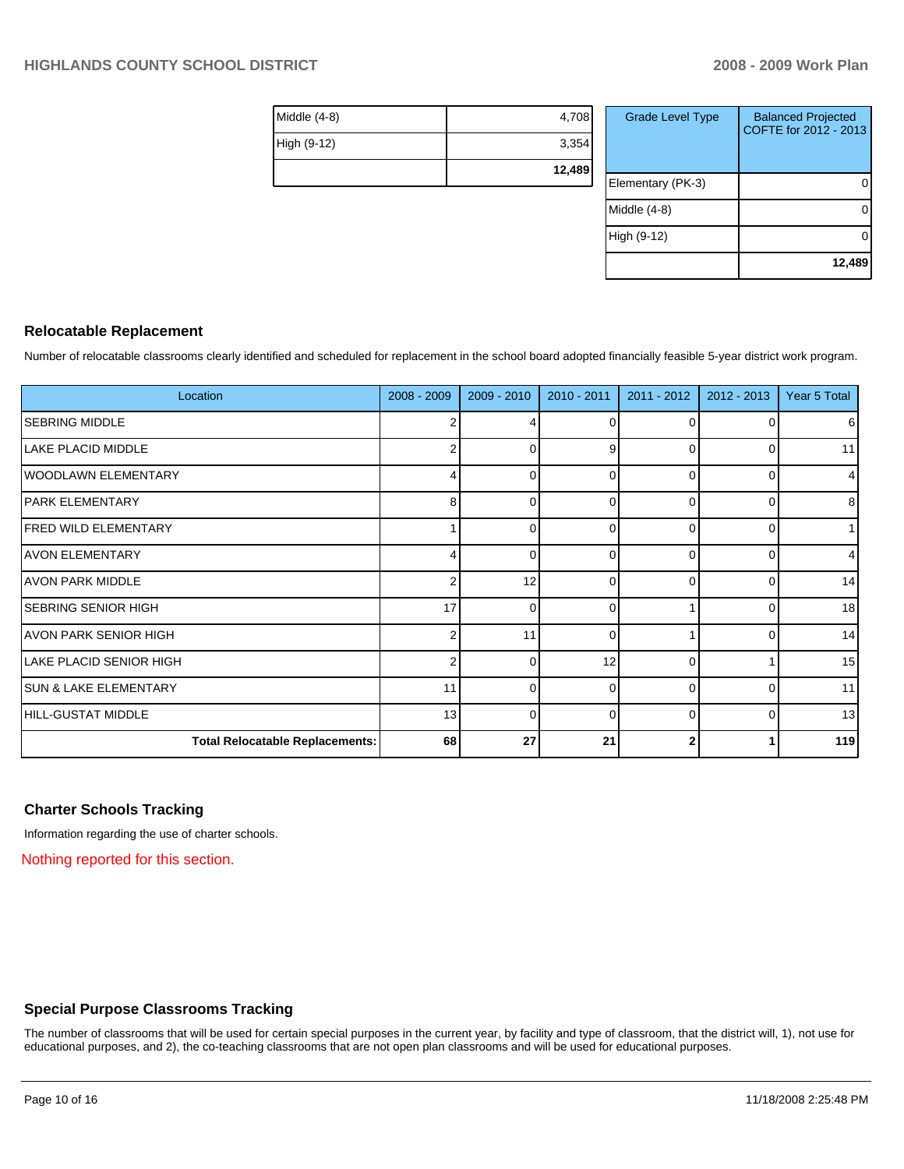| Middle (4-8) | 4,708  |
|--------------|--------|
| High (9-12)  | 3,354  |
|              | 12,489 |

| <b>Grade Level Type</b> | <b>Balanced Projected</b><br>COFTE for 2012 - 2013 |
|-------------------------|----------------------------------------------------|
| Elementary (PK-3)       |                                                    |
| Middle $(4-8)$          |                                                    |
| High (9-12)             |                                                    |
|                         | 12,489                                             |

#### **Relocatable Replacement**

Number of relocatable classrooms clearly identified and scheduled for replacement in the school board adopted financially feasible 5-year district work program.

| Location                               | 2008 - 2009 | 2009 - 2010 | 2010 - 2011 | 2011 - 2012 | $2012 - 2013$ | Year 5 Total   |
|----------------------------------------|-------------|-------------|-------------|-------------|---------------|----------------|
| <b>SEBRING MIDDLE</b>                  | 2           |             | $\Omega$    |             | 01            | 6              |
| LAKE PLACID MIDDLE                     |             | $\Omega$    | 9           |             | ი             | 11             |
| <b>WOODLAWN ELEMENTARY</b>             | 4           | $\Omega$    | $\Omega$    | $\Omega$    | 0             | 4              |
| IPARK ELEMENTARY                       | 8           | $\Omega$    | $\Omega$    | 0           | 0             | 8 <sup>1</sup> |
| <b>FRED WILD ELEMENTARY</b>            |             | $\Omega$    | C           |             | 0             | 1              |
| <b>IAVON ELEMENTARY</b>                | 4           | $\Omega$    | $\Omega$    | ∩           | 0             | $\overline{4}$ |
| IAVON PARK MIDDLE                      | 2           | 12          | $\Omega$    | 0           | 0             | 14             |
| <b>SEBRING SENIOR HIGH</b>             | 17          | $\Omega$    | $\Omega$    |             | 0             | 18             |
| IAVON PARK SENIOR HIGH                 | 2           | 11          | $\Omega$    |             | 0             | 14             |
| <b>LAKE PLACID SENIOR HIGH</b>         | 2           | $\Omega$    | 12          | 0           |               | 15             |
| <b>SUN &amp; LAKE ELEMENTARY</b>       | 11          | $\Omega$    | $\Omega$    | $\Omega$    | 0             | 11             |
| HILL-GUSTAT MIDDLE                     | 13          | $\Omega$    | $\Omega$    | 0           | 01            | 13             |
| <b>Total Relocatable Replacements:</b> | 68          | 27          | 21          | 2           |               | 119            |

#### **Charter Schools Tracking**

Information regarding the use of charter schools.

Nothing reported for this section.

## **Special Purpose Classrooms Tracking**

The number of classrooms that will be used for certain special purposes in the current year, by facility and type of classroom, that the district will, 1), not use for educational purposes, and 2), the co-teaching classrooms that are not open plan classrooms and will be used for educational purposes.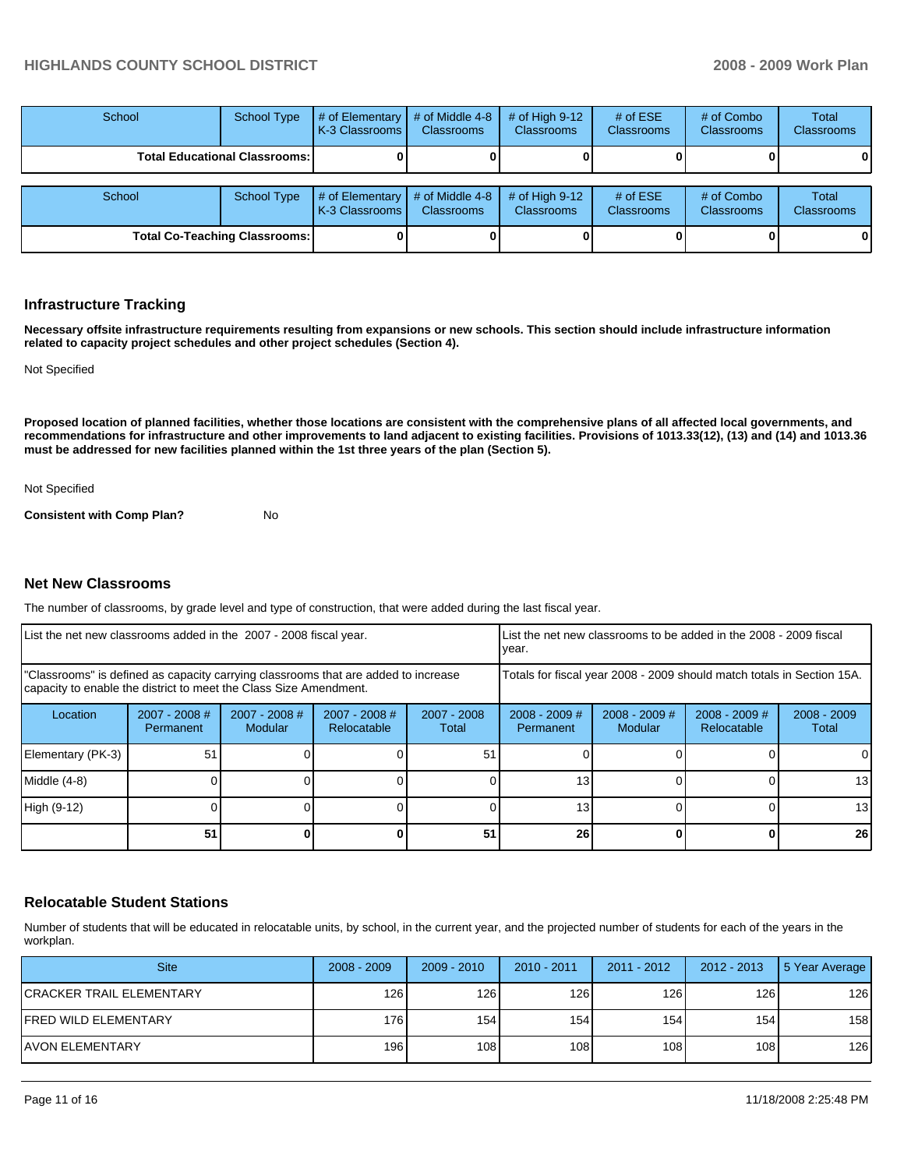| School                               | <b>School Type</b> | # of Elementary<br>LK-3 Classrooms L | # of Middle 4-8<br><b>Classrooms</b> | # of High $9-12$<br><b>Classrooms</b> | # of $ESE$<br><b>Classrooms</b> | # of Combo<br><b>Classrooms</b> | Total<br><b>Classrooms</b> |
|--------------------------------------|--------------------|--------------------------------------|--------------------------------------|---------------------------------------|---------------------------------|---------------------------------|----------------------------|
| <b>Total Educational Classrooms:</b> |                    |                                      |                                      |                                       |                                 |                                 | OΙ                         |
| School                               | School Type        | # of Elementary<br>K-3 Classrooms I  | # of Middle 4-8<br><b>Classrooms</b> | # of High $9-12$<br><b>Classrooms</b> | # of $ESE$<br>Classrooms        | # of Combo<br><b>Classrooms</b> | Total<br><b>Classrooms</b> |
| <b>Total Co-Teaching Classrooms:</b> |                    |                                      |                                      |                                       |                                 |                                 |                            |

#### **Infrastructure Tracking**

**Necessary offsite infrastructure requirements resulting from expansions or new schools. This section should include infrastructure information related to capacity project schedules and other project schedules (Section 4).** 

Not Specified

**Proposed location of planned facilities, whether those locations are consistent with the comprehensive plans of all affected local governments, and recommendations for infrastructure and other improvements to land adjacent to existing facilities. Provisions of 1013.33(12), (13) and (14) and 1013.36 must be addressed for new facilities planned within the 1st three years of the plan (Section 5).** 

Not Specified

**Consistent with Comp Plan?** No

#### **Net New Classrooms**

The number of classrooms, by grade level and type of construction, that were added during the last fiscal year.

| List the net new classrooms added in the 2007 - 2008 fiscal year.                                                                                       |                              |                                   |                                |                                                                        | List the net new classrooms to be added in the 2008 - 2009 fiscal<br>year. |                                   |                                |                        |
|---------------------------------------------------------------------------------------------------------------------------------------------------------|------------------------------|-----------------------------------|--------------------------------|------------------------------------------------------------------------|----------------------------------------------------------------------------|-----------------------------------|--------------------------------|------------------------|
| "Classrooms" is defined as capacity carrying classrooms that are added to increase<br>capacity to enable the district to meet the Class Size Amendment. |                              |                                   |                                | Totals for fiscal year 2008 - 2009 should match totals in Section 15A. |                                                                            |                                   |                                |                        |
| Location                                                                                                                                                | $2007 - 2008$ #<br>Permanent | $2007 - 2008$ #<br><b>Modular</b> | $2007 - 2008$ #<br>Relocatable | $2007 - 2008$<br>Total                                                 | $2008 - 2009$ #<br>Permanent                                               | $2008 - 2009$ #<br><b>Modular</b> | $2008 - 2009$ #<br>Relocatable | $2008 - 2009$<br>Total |
| Elementary (PK-3)                                                                                                                                       | 51                           |                                   |                                | 51                                                                     |                                                                            |                                   |                                |                        |
| Middle (4-8)                                                                                                                                            |                              |                                   |                                |                                                                        | 13                                                                         |                                   |                                | 13                     |
| High (9-12)                                                                                                                                             |                              |                                   |                                |                                                                        | 13                                                                         |                                   |                                | 13                     |
|                                                                                                                                                         | 51                           |                                   |                                | 51                                                                     | 26                                                                         |                                   |                                | 26                     |

#### **Relocatable Student Stations**

Number of students that will be educated in relocatable units, by school, in the current year, and the projected number of students for each of the years in the workplan.

| <b>Site</b>               | $2008 - 2009$ | $2009 - 2010$ | $2010 - 2011$ | $2011 - 2012$ | 2012 - 2013 | 5 Year Average |
|---------------------------|---------------|---------------|---------------|---------------|-------------|----------------|
| ICRACKER TRAIL ELEMENTARY | 126           | 126           | 126           | 126           | 126 I       | 126            |
| FRED WILD ELEMENTARY      | 176           | 154           | 154           | 154           | 154         | 158            |
| IAVON ELEMENTARY          | 196           | 108           | 108           | 108 l         | 108 I       | 126            |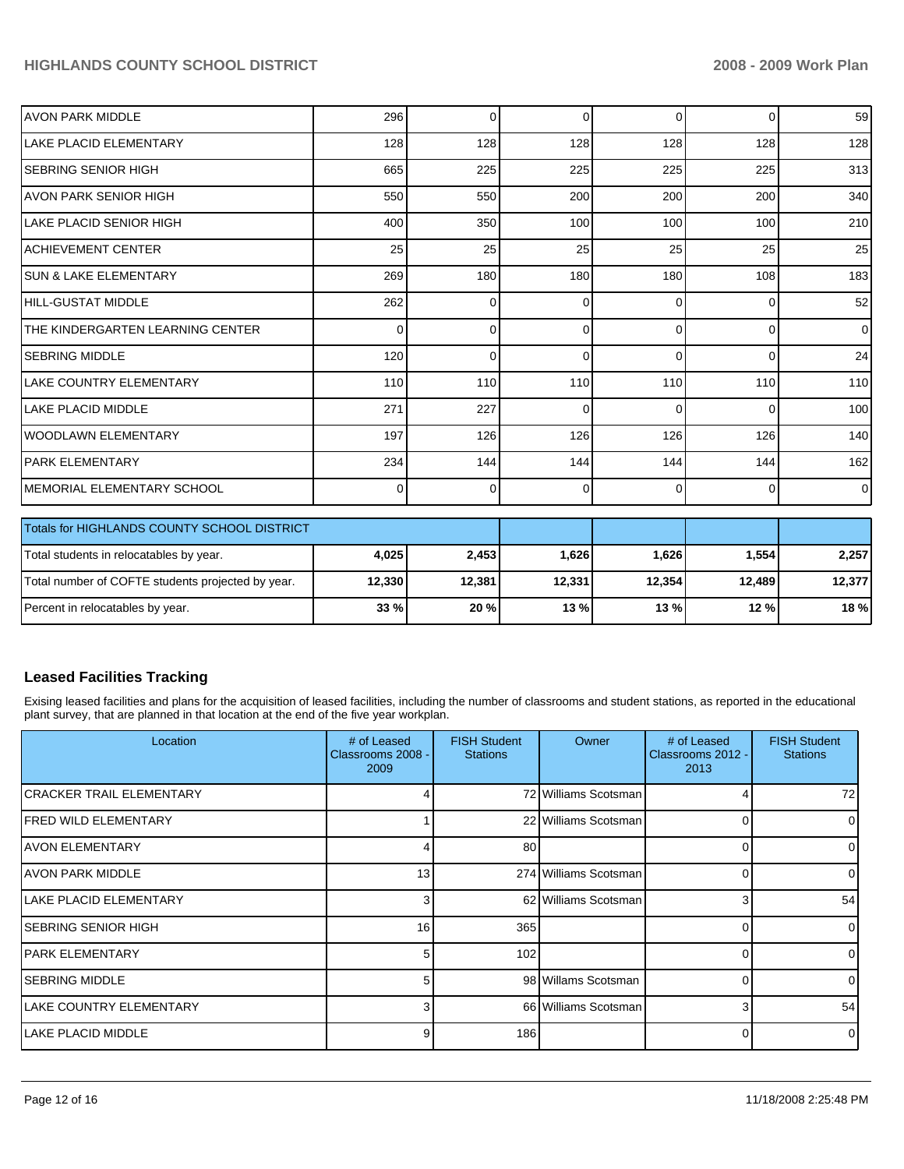| <b>AVON PARK MIDDLE</b>           | 296 | $\Omega$ | $\Omega$ | $\Omega$ | $\overline{0}$ | 59             |
|-----------------------------------|-----|----------|----------|----------|----------------|----------------|
| <b>LAKE PLACID ELEMENTARY</b>     | 128 | 128      | 128      | 128      | 128            | 128            |
| ISEBRING SENIOR HIGH              | 665 | 225      | 225      | 225      | 225            | 313            |
| AVON PARK SENIOR HIGH             | 550 | 550      | 200      | 200      | 200            | 340            |
| ILAKE PLACID SENIOR HIGH          | 400 | 350      | 100      | 100      | 100            | 210            |
| IACHIEVEMENT CENTER               | 25  | 25       | 25       | 25       | 25             | 25             |
| ISUN & LAKE ELEMENTARY            | 269 | 180      | 180      | 180      | 108            | 183            |
| HILL-GUSTAT MIDDLE                | 262 | $\Omega$ | 0        | $\Omega$ | 0              | 52             |
| ITHE KINDERGARTEN LEARNING CENTER | 0   | $\Omega$ | $\Omega$ | $\Omega$ | $\Omega$       | $\overline{0}$ |
| ISEBRING MIDDLE                   | 120 | $\Omega$ | 0        | $\Omega$ | $\Omega$       | 24             |
| LAKE COUNTRY ELEMENTARY           | 110 | 110      | 110      | 110      | 110            | 110            |
| ILAKE PLACID MIDDLE               | 271 | 227      | $\Omega$ | $\Omega$ | $\Omega$       | 100            |
| lwoodlawn ElEMENTARY              | 197 | 126      | 126      | 126      | 126            | 140            |
| IPARK ELEMENTARY                  | 234 | 144      | 144      | 144      | 144            | 162            |
| MEMORIAL ELEMENTARY SCHOOL        | 0   | 0        | 0        | $\Omega$ | 0              | $\overline{0}$ |

| Totals for HIGHLANDS COUNTY SCHOOL DISTRICT       |        |        |        |        |        |        |
|---------------------------------------------------|--------|--------|--------|--------|--------|--------|
| Total students in relocatables by year.           | 4,025  | 2.453  | 1,626  | 1.626  | .554   | 2,257  |
| Total number of COFTE students projected by year. | 12.330 | 12.381 | 12,331 | 12.354 | 12.489 | 12.377 |
| Percent in relocatables by year.                  | 33 %   | 20%    | 13 %   | 13 %   | 12 %   | 18 %   |

## **Leased Facilities Tracking**

Exising leased facilities and plans for the acquisition of leased facilities, including the number of classrooms and student stations, as reported in the educational plant survey, that are planned in that location at the end of the five year workplan.

| Location                  | # of Leased<br>Classrooms 2008 -<br>2009 | <b>FISH Student</b><br><b>Stations</b> | Owner                 | # of Leased<br>Classrooms 2012 -<br>2013 | <b>FISH Student</b><br><b>Stations</b> |
|---------------------------|------------------------------------------|----------------------------------------|-----------------------|------------------------------------------|----------------------------------------|
| İCRACKER TRAIL ELEMENTARY |                                          |                                        | 72 Williams Scotsman  |                                          | 72                                     |
| IFRED WILD ELEMENTARY     |                                          |                                        | 22 Williams Scotsman  |                                          |                                        |
| IAVON ELEMENTARY          |                                          | 80                                     |                       |                                          |                                        |
| IAVON PARK MIDDLE         | 13 <sub>l</sub>                          |                                        | 274 Williams Scotsman |                                          |                                        |
| LAKE PLACID ELEMENTARY    | 3                                        |                                        | 62 Williams Scotsman  | 3                                        | 54                                     |
| ISEBRING SENIOR HIGH      | 16                                       | 365                                    |                       |                                          |                                        |
| <b>IPARK ELEMENTARY</b>   | 5                                        | 102                                    |                       |                                          |                                        |
| <b>SEBRING MIDDLE</b>     | 5                                        |                                        | 98 Willams Scotsman   |                                          |                                        |
| LAKE COUNTRY ELEMENTARY   | 3                                        |                                        | 66 Williams Scotsman  | 3                                        | 54                                     |
| ILAKE PLACID MIDDLE       | 9                                        | 186                                    |                       |                                          | 0                                      |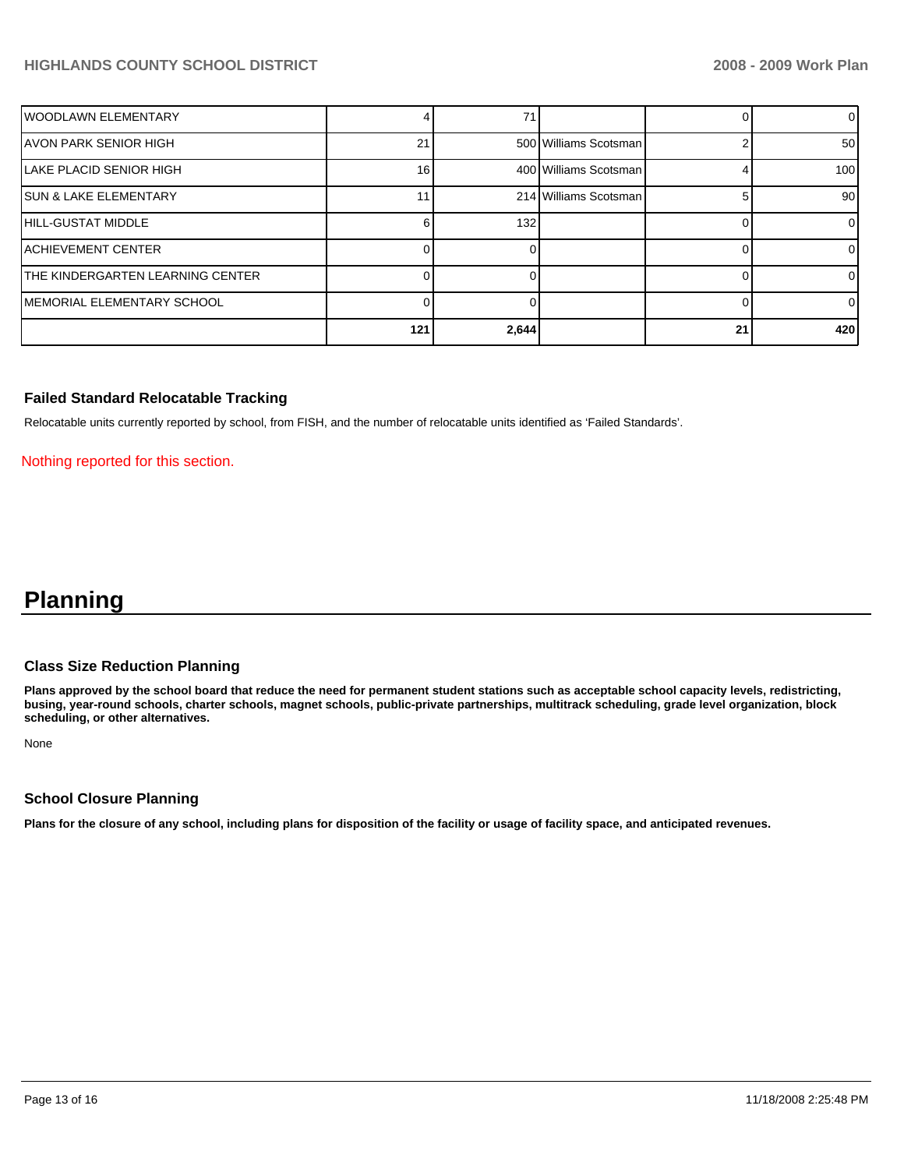| lWOODLAWN ELEMENTARY             |                 |       |                       |    | $\overline{0}$  |
|----------------------------------|-----------------|-------|-----------------------|----|-----------------|
| IAVON PARK SENIOR HIGH           | 21              |       | 500 Williams Scotsman |    | 50              |
| LAKE PLACID SENIOR HIGH          | 16 <sub>1</sub> |       | 400 Williams Scotsman |    | 100             |
| ISUN & LAKE ELEMENTARY           |                 |       | 214 Williams Scotsman |    | 90 <sub>l</sub> |
| HILL-GUSTAT MIDDLE               |                 | 132   |                       |    | $\overline{0}$  |
| IACHIEVEMENT CENTER              |                 |       |                       |    | 0               |
| THE KINDERGARTEN LEARNING CENTER |                 |       |                       |    | 01              |
| IMEMORIAL ELEMENTARY SCHOOL      |                 |       |                       |    | $\overline{0}$  |
|                                  | 121             | 2,644 |                       | 21 | 420             |

#### **Failed Standard Relocatable Tracking**

Relocatable units currently reported by school, from FISH, and the number of relocatable units identified as 'Failed Standards'.

Nothing reported for this section.

# **Planning**

#### **Class Size Reduction Planning**

**Plans approved by the school board that reduce the need for permanent student stations such as acceptable school capacity levels, redistricting, busing, year-round schools, charter schools, magnet schools, public-private partnerships, multitrack scheduling, grade level organization, block scheduling, or other alternatives.** 

None

#### **School Closure Planning**

**Plans for the closure of any school, including plans for disposition of the facility or usage of facility space, and anticipated revenues.**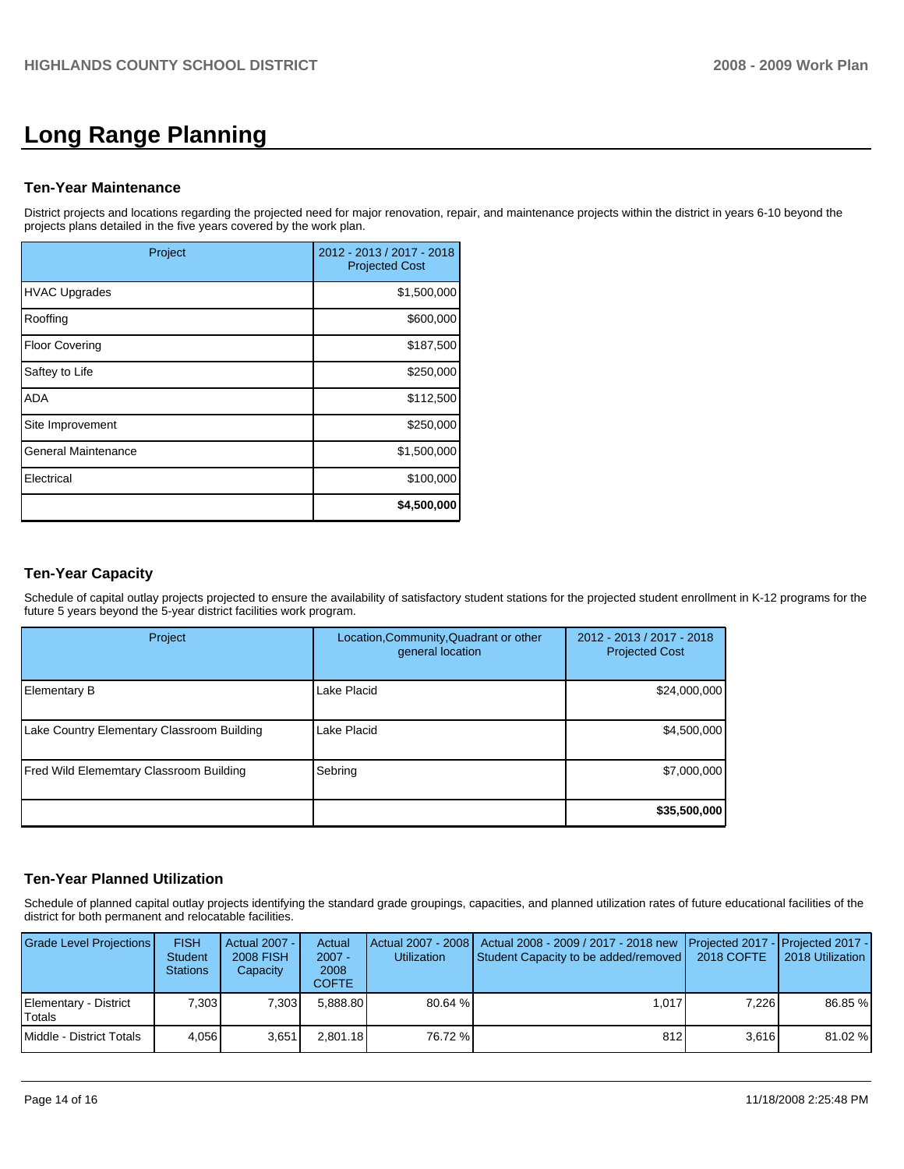# **Long Range Planning**

#### **Ten-Year Maintenance**

District projects and locations regarding the projected need for major renovation, repair, and maintenance projects within the district in years 6-10 beyond the projects plans detailed in the five years covered by the work plan.

| Project                    | 2012 - 2013 / 2017 - 2018<br><b>Projected Cost</b> |
|----------------------------|----------------------------------------------------|
| <b>HVAC Upgrades</b>       | \$1,500,000                                        |
| Rooffing                   | \$600,000                                          |
| <b>Floor Covering</b>      | \$187,500                                          |
| Saftey to Life             | \$250,000                                          |
| <b>ADA</b>                 | \$112,500                                          |
| Site Improvement           | \$250,000                                          |
| <b>General Maintenance</b> | \$1,500,000                                        |
| Electrical                 | \$100,000                                          |
|                            | \$4,500,000                                        |

## **Ten-Year Capacity**

Schedule of capital outlay projects projected to ensure the availability of satisfactory student stations for the projected student enrollment in K-12 programs for the future 5 years beyond the 5-year district facilities work program.

| Project                                        | Location, Community, Quadrant or other<br>general location | 2012 - 2013 / 2017 - 2018<br><b>Projected Cost</b> |
|------------------------------------------------|------------------------------------------------------------|----------------------------------------------------|
| Elementary B                                   | Lake Placid                                                | \$24,000,000                                       |
| Lake Country Elementary Classroom Building     | Lake Placid                                                | \$4,500,000                                        |
| <b>Fred Wild Elememtary Classroom Building</b> | Sebring                                                    | \$7,000,000                                        |
|                                                |                                                            | \$35,500,000                                       |

#### **Ten-Year Planned Utilization**

Schedule of planned capital outlay projects identifying the standard grade groupings, capacities, and planned utilization rates of future educational facilities of the district for both permanent and relocatable facilities.

| Grade Level Projections         | <b>FISH</b><br><b>Student</b><br><b>Stations</b> | Actual 2007 -<br><b>2008 FISH</b><br>Capacity | Actual<br>$2007 -$<br>2008<br>COFTE | <b>Utilization</b> | Actual 2007 - 2008   Actual 2008 - 2009 / 2017 - 2018 new   Projected 2017 -   Projected 2017 -  <br>Student Capacity to be added/removed   2018 COFTE |       | 2018 Utilization |
|---------------------------------|--------------------------------------------------|-----------------------------------------------|-------------------------------------|--------------------|--------------------------------------------------------------------------------------------------------------------------------------------------------|-------|------------------|
| Elementary - District<br>Totals | 7.303                                            | 7.303                                         | 5.888.80                            | 80.64 %            | 1.017                                                                                                                                                  | 7.226 | 86.85 %          |
| Middle - District Totals        | 4.056                                            | 3,651                                         | 2.801.18                            | 76.72 %            | 812                                                                                                                                                    | 3.616 | 81.02 %          |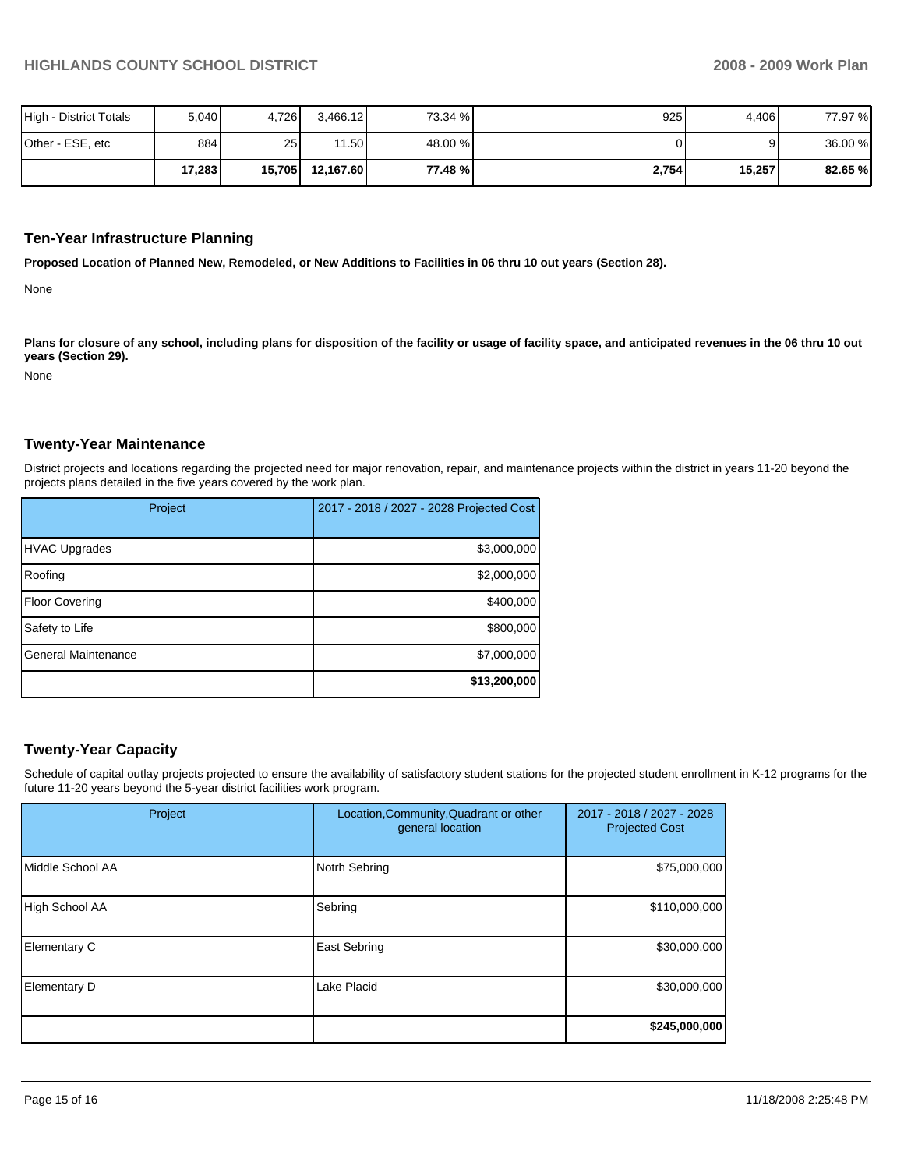| High - District Totals | 5,040  | 1,726           | 3,466.12  | 73.34 % | 925   | 4,406  | 77.97 % |
|------------------------|--------|-----------------|-----------|---------|-------|--------|---------|
| Other - ESE, etc       | 884    | 25 <sub>1</sub> | 11.501    | 48.00 % |       |        | 36.00 % |
|                        | 17,283 | 15,705          | 12.167.60 | 77.48 % | 2,754 | 15,257 | 82.65 % |

#### **Ten-Year Infrastructure Planning**

**Proposed Location of Planned New, Remodeled, or New Additions to Facilities in 06 thru 10 out years (Section 28).** 

None

Plans for closure of any school, including plans for disposition of the facility or usage of facility space, and anticipated revenues in the 06 thru 10 out **years (Section 29).** 

None

#### **Twenty-Year Maintenance**

District projects and locations regarding the projected need for major renovation, repair, and maintenance projects within the district in years 11-20 beyond the projects plans detailed in the five years covered by the work plan.

| Project                    | 2017 - 2018 / 2027 - 2028 Projected Cost |
|----------------------------|------------------------------------------|
| <b>HVAC Upgrades</b>       | \$3,000,000                              |
| Roofing                    | \$2,000,000                              |
| <b>Floor Covering</b>      | \$400,000                                |
| Safety to Life             | \$800,000                                |
| <b>General Maintenance</b> | \$7,000,000                              |
|                            | \$13,200,000                             |

## **Twenty-Year Capacity**

Schedule of capital outlay projects projected to ensure the availability of satisfactory student stations for the projected student enrollment in K-12 programs for the future 11-20 years beyond the 5-year district facilities work program.

| Project          | Location, Community, Quadrant or other<br>general location | 2017 - 2018 / 2027 - 2028<br><b>Projected Cost</b> |
|------------------|------------------------------------------------------------|----------------------------------------------------|
| Middle School AA | Notrh Sebring                                              | \$75,000,000                                       |
| High School AA   | Sebring                                                    | \$110,000,000                                      |
| Elementary C     | East Sebring                                               | \$30,000,000                                       |
| Elementary D     | Lake Placid                                                | \$30,000,000                                       |
|                  |                                                            | \$245,000,000                                      |